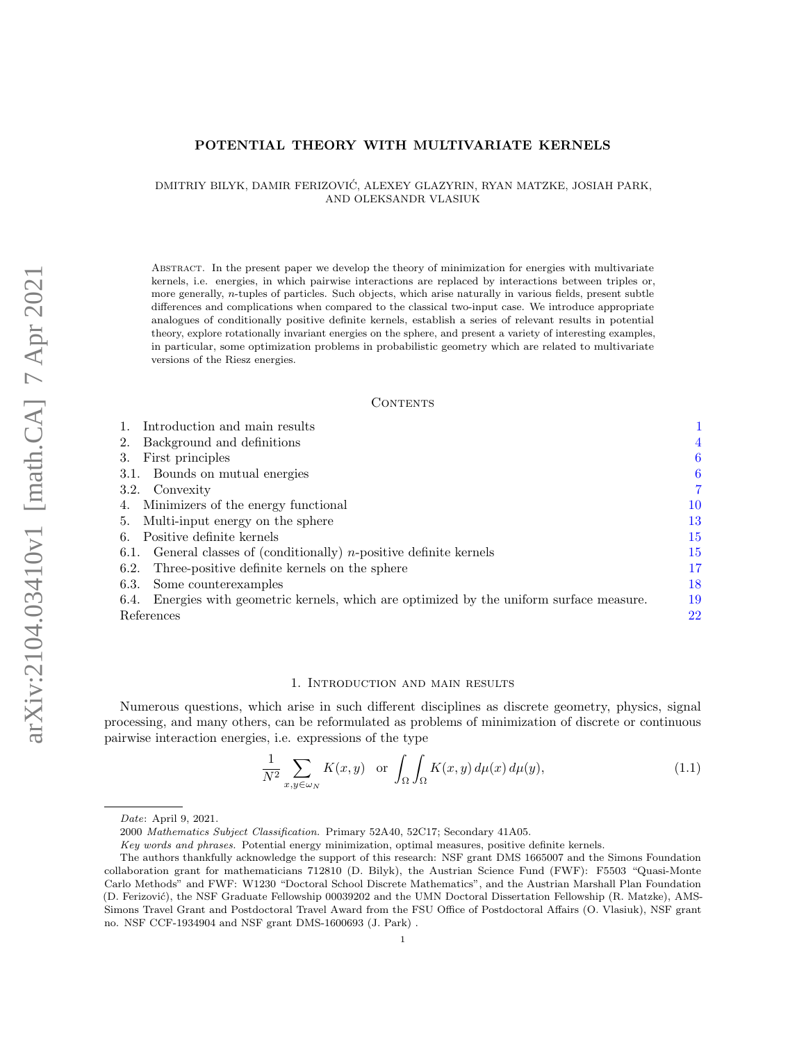# POTENTIAL THEORY WITH MULTIVARIATE KERNELS

### DMITRIY BILYK, DAMIR FERIZOVIC, ALEXEY GLAZYRIN, RYAN MATZKE, JOSIAH PARK, ´ AND OLEKSANDR VLASIUK

Abstract. In the present paper we develop the theory of minimization for energies with multivariate kernels, i.e. energies, in which pairwise interactions are replaced by interactions between triples or, more generally, n-tuples of particles. Such objects, which arise naturally in various fields, present subtle differences and complications when compared to the classical two-input case. We introduce appropriate analogues of conditionally positive definite kernels, establish a series of relevant results in potential theory, explore rotationally invariant energies on the sphere, and present a variety of interesting examples, in particular, some optimization problems in probabilistic geometry which are related to multivariate versions of the Riesz energies.

#### **CONTENTS**

| Introduction and main results                                                                |    |
|----------------------------------------------------------------------------------------------|----|
| Background and definitions<br>2.                                                             | 4  |
| First principles<br>3.                                                                       | 6  |
| 3.1. Bounds on mutual energies                                                               | 6  |
| 3.2. Convexity                                                                               | 7  |
| Minimizers of the energy functional                                                          | 10 |
| Multi-input energy on the sphere<br>5.                                                       | 13 |
| Positive definite kernels<br>6.                                                              | 15 |
| 6.1. General classes of (conditionally) <i>n</i> -positive definite kernels                  | 15 |
| 6.2. Three-positive definite kernels on the sphere                                           | 17 |
| Some counterexamples<br>6.3.                                                                 | 18 |
| Energies with geometric kernels, which are optimized by the uniform surface measure.<br>6.4. | 19 |
| References                                                                                   | 22 |

#### 1. Introduction and main results

<span id="page-0-0"></span>Numerous questions, which arise in such different disciplines as discrete geometry, physics, signal processing, and many others, can be reformulated as problems of minimization of discrete or continuous pairwise interaction energies, i.e. expressions of the type

<span id="page-0-1"></span>
$$
\frac{1}{N^2} \sum_{x,y \in \omega_N} K(x,y) \quad \text{or} \quad \int_{\Omega} \int_{\Omega} K(x,y) \, d\mu(x) \, d\mu(y),\tag{1.1}
$$

Date: April 9, 2021.

<sup>2000</sup> Mathematics Subject Classification. Primary 52A40, 52C17; Secondary 41A05.

Key words and phrases. Potential energy minimization, optimal measures, positive definite kernels.

The authors thankfully acknowledge the support of this research: NSF grant DMS 1665007 and the Simons Foundation collaboration grant for mathematicians 712810 (D. Bilyk), the Austrian Science Fund (FWF): F5503 "Quasi-Monte Carlo Methods" and FWF: W1230 "Doctoral School Discrete Mathematics", and the Austrian Marshall Plan Foundation (D. Ferizović), the NSF Graduate Fellowship 00039202 and the UMN Doctoral Dissertation Fellowship (R. Matzke), AMS-Simons Travel Grant and Postdoctoral Travel Award from the FSU Office of Postdoctoral Affairs (O. Vlasiuk), NSF grant no. NSF CCF-1934904 and NSF grant DMS-1600693 (J. Park) .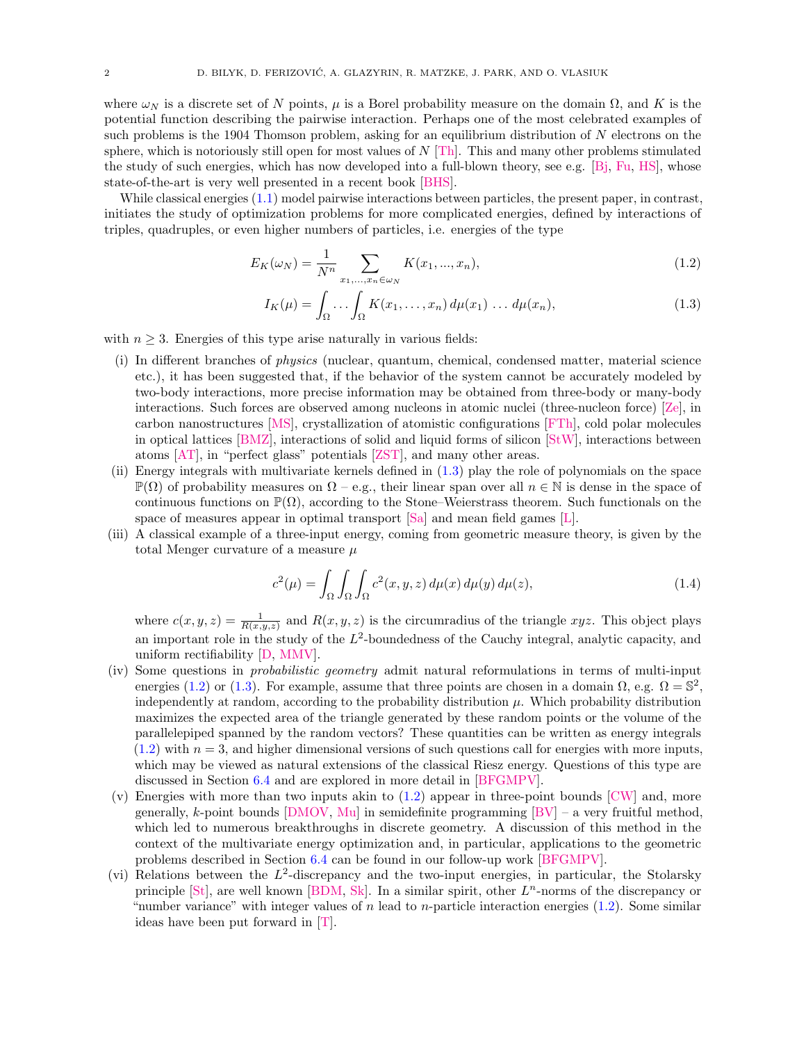where  $\omega_N$  is a discrete set of N points,  $\mu$  is a Borel probability measure on the domain  $\Omega$ , and K is the potential function describing the pairwise interaction. Perhaps one of the most celebrated examples of such problems is the 1904 Thomson problem, asking for an equilibrium distribution of N electrons on the sphere, which is notoriously still open for most values of  $N$  [\[Th\]](#page-22-0). This and many other problems stimulated the study of such energies, which has now developed into a full-blown theory, see e.g. [\[Bj,](#page-21-1) [Fu,](#page-21-2) [HS\]](#page-21-3), whose state-of-the-art is very well presented in a recent book [\[BHS\]](#page-21-4).

While classical energies  $(1.1)$  model pairwise interactions between particles, the present paper, in contrast, initiates the study of optimization problems for more complicated energies, defined by interactions of triples, quadruples, or even higher numbers of particles, i.e. energies of the type

$$
E_K(\omega_N) = \frac{1}{N^n} \sum_{x_1, \dots, x_n \in \omega_N} K(x_1, \dots, x_n),
$$
\n(1.2)

<span id="page-1-1"></span><span id="page-1-0"></span>
$$
I_K(\mu) = \int_{\Omega} \dots \int_{\Omega} K(x_1, \dots, x_n) d\mu(x_1) \dots d\mu(x_n), \tag{1.3}
$$

with  $n \geq 3$ . Energies of this type arise naturally in various fields:

- <span id="page-1-2"></span>(i) In different branches of physics (nuclear, quantum, chemical, condensed matter, material science etc.), it has been suggested that, if the behavior of the system cannot be accurately modeled by two-body interactions, more precise information may be obtained from three-body or many-body interactions. Such forces are observed among nucleons in atomic nuclei (three-nucleon force) [\[Ze\]](#page-22-1), in carbon nanostructures [\[MS\]](#page-21-5), crystallization of atomistic configurations [\[FTh\]](#page-21-6), cold polar molecules in optical lattices [\[BMZ\]](#page-21-7), interactions of solid and liquid forms of silicon [\[StW\]](#page-22-2), interactions between atoms [\[AT\]](#page-21-8), in "perfect glass" potentials [\[ZST\]](#page-22-3), and many other areas.
- <span id="page-1-7"></span>(ii) Energy integrals with multivariate kernels defined in [\(1.3\)](#page-1-0) play the role of polynomials on the space  $\mathbb{P}(\Omega)$  of probability measures on  $\Omega$  – e.g., their linear span over all  $n \in \mathbb{N}$  is dense in the space of continuous functions on  $\mathbb{P}(\Omega)$ , according to the Stone–Weierstrass theorem. Such functionals on the space of measures appear in optimal transport [\[Sa\]](#page-22-4) and mean field games [\[L\]](#page-21-9).
- (iii) A classical example of a three-input energy, coming from geometric measure theory, is given by the total Menger curvature of a measure  $\mu$

<span id="page-1-6"></span>
$$
c^{2}(\mu) = \int_{\Omega} \int_{\Omega} \int_{\Omega} c^{2}(x, y, z) d\mu(x) d\mu(y) d\mu(z), \qquad (1.4)
$$

where  $c(x, y, z) = \frac{1}{R(x, y, z)}$  and  $R(x, y, z)$  is the circumradius of the triangle xyz. This object plays an important role in the study of the  $L^2$ -boundedness of the Cauchy integral, analytic capacity, and uniform rectifiability [\[D,](#page-21-10) [MMV\]](#page-21-11).

- <span id="page-1-5"></span>(iv) Some questions in probabilistic geometry admit natural reformulations in terms of multi-input energies [\(1.2\)](#page-1-1) or [\(1.3\)](#page-1-0). For example, assume that three points are chosen in a domain  $\Omega$ , e.g.  $\Omega = \mathbb{S}^2$ , independently at random, according to the probability distribution  $\mu$ . Which probability distribution maximizes the expected area of the triangle generated by these random points or the volume of the parallelepiped spanned by the random vectors? These quantities can be written as energy integrals  $(1.2)$  with  $n = 3$ , and higher dimensional versions of such questions call for energies with more inputs, which may be viewed as natural extensions of the classical Riesz energy. Questions of this type are discussed in Section [6.4](#page-18-0) and are explored in more detail in [\[BFGMPV\]](#page-21-12).
- <span id="page-1-3"></span>(v) Energies with more than two inputs akin to  $(1.2)$  appear in three-point bounds  $\text{CW}$  and, more generally, k-point bounds [\[DMOV,](#page-21-14) [Mu\]](#page-21-15) in semidefinite programming  $[BV]$  – a very fruitful method, which led to numerous breakthroughs in discrete geometry. A discussion of this method in the context of the multivariate energy optimization and, in particular, applications to the geometric problems described in Section [6.4](#page-18-0) can be found in our follow-up work [\[BFGMPV\]](#page-21-12).
- <span id="page-1-4"></span>(vi) Relations between the  $L^2$ -discrepancy and the two-input energies, in particular, the Stolarsky principle  $[St]$ , are well known  $[BDM, Sk]$  $[BDM, Sk]$  $[BDM, Sk]$ . In a similar spirit, other  $L^n$ -norms of the discrepancy or "number variance" with integer values of n lead to n-particle interaction energies  $(1.2)$ . Some similar ideas have been put forward in [\[T\]](#page-22-7).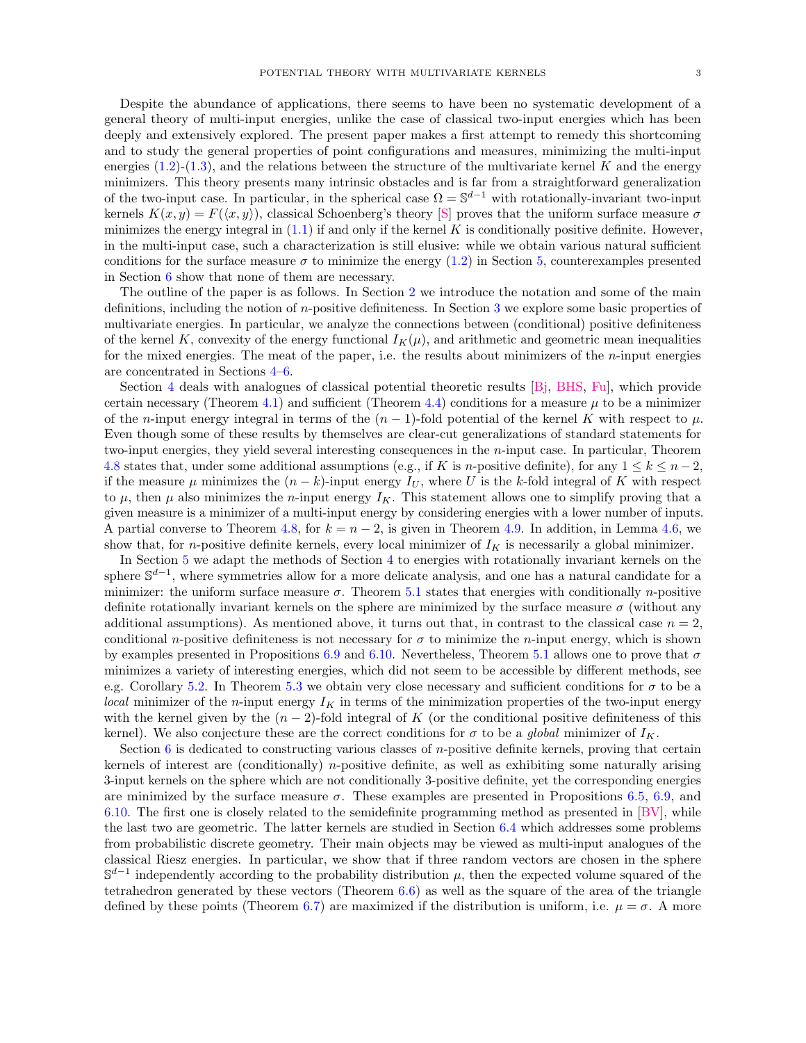Despite the abundance of applications, there seems to have been no systematic development of a general theory of multi-input energies, unlike the case of classical two-input energies which has been deeply and extensively explored. The present paper makes a first attempt to remedy this shortcoming and to study the general properties of point configurations and measures, minimizing the multi-input energies  $(1.2)-(1.3)$  $(1.2)-(1.3)$  $(1.2)-(1.3)$ , and the relations between the structure of the multivariate kernel K and the energy minimizers. This theory presents many intrinsic obstacles and is far from a straightforward generalization of the two-input case. In particular, in the spherical case  $\Omega = \mathbb{S}^{d-1}$  with rotationally-invariant two-input kernels  $K(x, y) = F(\langle x, y \rangle)$ , classical Schoenberg's theory [\[S\]](#page-22-8) proves that the uniform surface measure  $\sigma$ minimizes the energy integral in  $(1.1)$  if and only if the kernel K is conditionally positive definite. However, in the multi-input case, such a characterization is still elusive: while we obtain various natural sufficient conditions for the surface measure  $\sigma$  to minimize the energy [\(1.2\)](#page-1-1) in Section [5,](#page-12-0) counterexamples presented in Section [6](#page-14-0) show that none of them are necessary.

The outline of the paper is as follows. In Section [2](#page-3-0) we introduce the notation and some of the main definitions, including the notion of n-positive definiteness. In Section [3](#page-5-0) we explore some basic properties of multivariate energies. In particular, we analyze the connections between (conditional) positive definiteness of the kernel K, convexity of the energy functional  $I_K(\mu)$ , and arithmetic and geometric mean inequalities for the mixed energies. The meat of the paper, i.e. the results about minimizers of the  $n$ -input energies are concentrated in Sections [4](#page-9-0)[–6.](#page-14-0)

Section [4](#page-9-0) deals with analogues of classical potential theoretic results [\[Bj,](#page-21-1) [BHS,](#page-21-4) [Fu\]](#page-21-2), which provide certain necessary (Theorem [4.1\)](#page-9-1) and sufficient (Theorem [4.4\)](#page-10-0) conditions for a measure  $\mu$  to be a minimizer of the n-input energy integral in terms of the  $(n-1)$ -fold potential of the kernel K with respect to  $\mu$ . Even though some of these results by themselves are clear-cut generalizations of standard statements for two-input energies, they yield several interesting consequences in the n-input case. In particular, Theorem [4.8](#page-11-0) states that, under some additional assumptions (e.g., if K is n-positive definite), for any  $1 \leq k \leq n-2$ , if the measure  $\mu$  minimizes the  $(n-k)$ -input energy  $I_U$ , where U is the k-fold integral of K with respect to  $\mu$ , then  $\mu$  also minimizes the *n*-input energy  $I_K$ . This statement allows one to simplify proving that a given measure is a minimizer of a multi-input energy by considering energies with a lower number of inputs. A partial converse to Theorem [4.8,](#page-11-0) for  $k = n - 2$ , is given in Theorem [4.9.](#page-11-1) In addition, in Lemma [4.6,](#page-10-1) we show that, for *n*-positive definite kernels, every local minimizer of  $I_K$  is necessarily a global minimizer.

In Section [5](#page-12-0) we adapt the methods of Section [4](#page-9-0) to energies with rotationally invariant kernels on the sphere  $\mathbb{S}^{d-1}$ , where symmetries allow for a more delicate analysis, and one has a natural candidate for a minimizer: the uniform surface measure  $\sigma$ . Theorem [5.1](#page-13-0) states that energies with conditionally *n*-positive definite rotationally invariant kernels on the sphere are minimized by the surface measure  $\sigma$  (without any additional assumptions). As mentioned above, it turns out that, in contrast to the classical case  $n = 2$ , conditional n-positive definiteness is not necessary for  $\sigma$  to minimize the n-input energy, which is shown by examples presented in Propositions [6.9](#page-20-0) and [6.10.](#page-20-1) Nevertheless, Theorem [5.1](#page-13-0) allows one to prove that  $\sigma$ minimizes a variety of interesting energies, which did not seem to be accessible by different methods, see e.g. Corollary [5.2.](#page-13-1) In Theorem [5.3](#page-14-2) we obtain very close necessary and sufficient conditions for  $\sigma$  to be a local minimizer of the n-input energy  $I_K$  in terms of the minimization properties of the two-input energy with the kernel given by the  $(n-2)$ -fold integral of K (or the conditional positive definiteness of this kernel). We also conjecture these are the correct conditions for  $\sigma$  to be a *global* minimizer of  $I_K$ .

Section [6](#page-14-0) is dedicated to constructing various classes of  $n$ -positive definite kernels, proving that certain kernels of interest are (conditionally) n-positive definite, as well as exhibiting some naturally arising 3-input kernels on the sphere which are not conditionally 3-positive definite, yet the corresponding energies are minimized by the surface measure  $\sigma$ . These examples are presented in Propositions [6.5,](#page-17-1) [6.9,](#page-20-0) and [6.10.](#page-20-1) The first one is closely related to the semidefinite programming method as presented in  $[BV]$ , while the last two are geometric. The latter kernels are studied in Section [6.4](#page-18-0) which addresses some problems from probabilistic discrete geometry. Their main objects may be viewed as multi-input analogues of the classical Riesz energies. In particular, we show that if three random vectors are chosen in the sphere  $\mathbb{S}^{d-1}$  independently according to the probability distribution  $\mu$ , then the expected volume squared of the tetrahedron generated by these vectors (Theorem  $6.6$ ) as well as the square of the area of the triangle defined by these points (Theorem [6.7\)](#page-19-1) are maximized if the distribution is uniform, i.e.  $\mu = \sigma$ . A more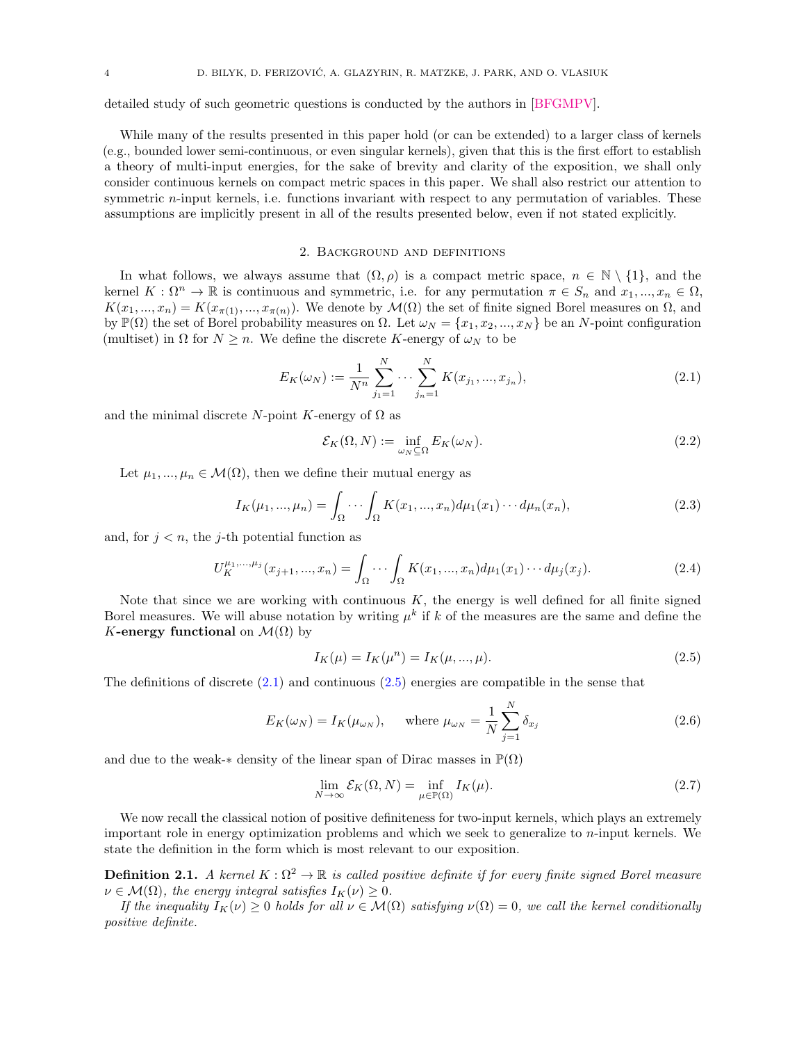detailed study of such geometric questions is conducted by the authors in [\[BFGMPV\]](#page-21-12).

While many of the results presented in this paper hold (or can be extended) to a larger class of kernels (e.g., bounded lower semi-continuous, or even singular kernels), given that this is the first effort to establish a theory of multi-input energies, for the sake of brevity and clarity of the exposition, we shall only consider continuous kernels on compact metric spaces in this paper. We shall also restrict our attention to symmetric *n*-input kernels, i.e. functions invariant with respect to any permutation of variables. These assumptions are implicitly present in all of the results presented below, even if not stated explicitly.

### 2. Background and definitions

<span id="page-3-0"></span>In what follows, we always assume that  $(\Omega, \rho)$  is a compact metric space,  $n \in \mathbb{N} \setminus \{1\}$ , and the kernel  $K : \Omega^n \to \mathbb{R}$  is continuous and symmetric, i.e. for any permutation  $\pi \in S_n$  and  $x_1, ..., x_n \in \Omega$ ,  $K(x_1, ..., x_n) = K(x_{\pi(1)}, ..., x_{\pi(n)})$ . We denote by  $\mathcal{M}(\Omega)$  the set of finite signed Borel measures on  $\Omega$ , and by  $\mathbb{P}(\Omega)$  the set of Borel probability measures on  $\Omega$ . Let  $\omega_N = \{x_1, x_2, ..., x_N\}$  be an N-point configuration (multiset) in  $\Omega$  for  $N \geq n$ . We define the discrete K-energy of  $\omega_N$  to be

<span id="page-3-1"></span>
$$
E_K(\omega_N) := \frac{1}{N^n} \sum_{j_1=1}^N \cdots \sum_{j_n=1}^N K(x_{j_1}, \ldots, x_{j_n}),
$$
\n(2.1)

and the minimal discrete N-point K-energy of  $\Omega$  as

$$
\mathcal{E}_K(\Omega, N) := \inf_{\omega_N \subseteq \Omega} E_K(\omega_N). \tag{2.2}
$$

Let  $\mu_1, ..., \mu_n \in \mathcal{M}(\Omega)$ , then we define their mutual energy as

$$
I_K(\mu_1, ..., \mu_n) = \int_{\Omega} \cdots \int_{\Omega} K(x_1, ..., x_n) d\mu_1(x_1) \cdots d\mu_n(x_n),
$$
\n(2.3)

and, for  $j < n$ , the j-th potential function as

$$
U_K^{\mu_1,...,\mu_j}(x_{j+1},...,x_n) = \int_{\Omega} \cdots \int_{\Omega} K(x_1,...,x_n) d\mu_1(x_1) \cdots d\mu_j(x_j).
$$
 (2.4)

Note that since we are working with continuous  $K$ , the energy is well defined for all finite signed Borel measures. We will abuse notation by writing  $\mu^k$  if k of the measures are the same and define the K-energy functional on  $\mathcal{M}(\Omega)$  by

<span id="page-3-2"></span>
$$
I_K(\mu) = I_K(\mu^n) = I_K(\mu, ..., \mu). \tag{2.5}
$$

The definitions of discrete  $(2.1)$  and continuous  $(2.5)$  energies are compatible in the sense that

$$
E_K(\omega_N) = I_K(\mu_{\omega_N}), \quad \text{where } \mu_{\omega_N} = \frac{1}{N} \sum_{j=1}^N \delta_{x_j}
$$
 (2.6)

and due to the weak- $*$  density of the linear span of Dirac masses in  $\mathbb{P}(\Omega)$ 

$$
\lim_{N \to \infty} \mathcal{E}_K(\Omega, N) = \inf_{\mu \in \mathbb{P}(\Omega)} I_K(\mu). \tag{2.7}
$$

We now recall the classical notion of positive definiteness for two-input kernels, which plays an extremely important role in energy optimization problems and which we seek to generalize to n-input kernels. We state the definition in the form which is most relevant to our exposition.

<span id="page-3-3"></span>**Definition 2.1.** A kernel  $K : \Omega^2 \to \mathbb{R}$  is called positive definite if for every finite signed Borel measure  $\nu \in \mathcal{M}(\Omega)$ , the energy integral satisfies  $I_K(\nu) \geq 0$ .

If the inequality  $I_K(\nu) \geq 0$  holds for all  $\nu \in \mathcal{M}(\Omega)$  satisfying  $\nu(\Omega) = 0$ , we call the kernel conditionally positive definite.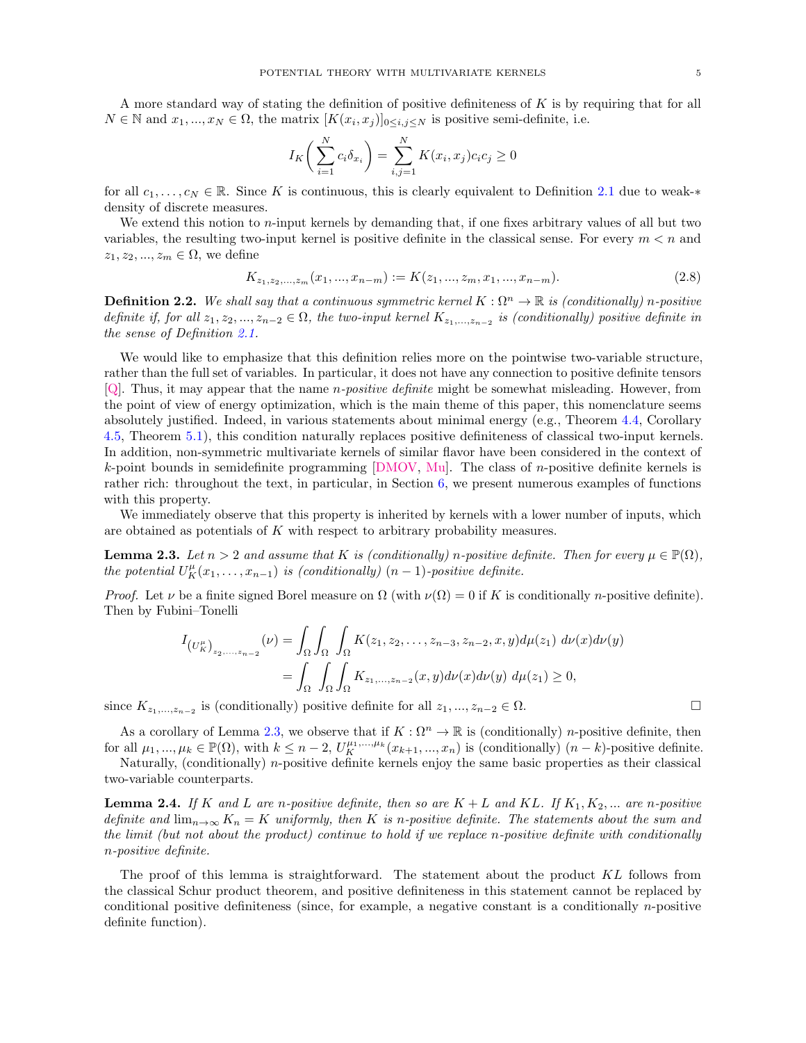A more standard way of stating the definition of positive definiteness of K is by requiring that for all  $N \in \mathbb{N}$  and  $x_1, ..., x_N \in \Omega$ , the matrix  $[K(x_i, x_j)]_{0 \leq i,j \leq N}$  is positive semi-definite, i.e.

$$
I_K\bigg(\sum_{i=1}^N c_i \delta_{x_i}\bigg) = \sum_{i,j=1}^N K(x_i, x_j) c_i c_j \ge 0
$$

for all  $c_1, \ldots, c_N \in \mathbb{R}$ . Since K is continuous, this is clearly equivalent to Definition [2.1](#page-3-3) due to weak-\* density of discrete measures.

We extend this notion to  $n$ -input kernels by demanding that, if one fixes arbitrary values of all but two variables, the resulting two-input kernel is positive definite in the classical sense. For every  $m < n$  and  $z_1, z_2, ..., z_m \in \Omega$ , we define

$$
K_{z_1, z_2, \dots, z_m}(x_1, \dots, x_{n-m}) := K(z_1, \dots, z_m, x_1, \dots, x_{n-m}).
$$
\n(2.8)

<span id="page-4-1"></span>**Definition 2.2.** We shall say that a continuous symmetric kernel  $K : \Omega^n \to \mathbb{R}$  is (conditionally) n-positive definite if, for all  $z_1, z_2, ..., z_{n-2} \in \Omega$ , the two-input kernel  $K_{z_1,...,z_{n-2}}$  is (conditionally) positive definite in the sense of Definition [2.1.](#page-3-3)

We would like to emphasize that this definition relies more on the pointwise two-variable structure, rather than the full set of variables. In particular, it does not have any connection to positive definite tensors  $[Q]$ . Thus, it may appear that the name *n-positive definite* might be somewhat misleading. However, from the point of view of energy optimization, which is the main theme of this paper, this nomenclature seems absolutely justified. Indeed, in various statements about minimal energy (e.g., Theorem [4.4,](#page-10-0) Corollary [4.5,](#page-10-2) Theorem [5.1\)](#page-13-0), this condition naturally replaces positive definiteness of classical two-input kernels. In addition, non-symmetric multivariate kernels of similar flavor have been considered in the context of k-point bounds in semidefinite programming  $[DMOV, Mu]$  $[DMOV, Mu]$  $[DMOV, Mu]$ . The class of *n*-positive definite kernels is rather rich: throughout the text, in particular, in Section [6,](#page-14-0) we present numerous examples of functions with this property.

We immediately observe that this property is inherited by kernels with a lower number of inputs, which are obtained as potentials of K with respect to arbitrary probability measures.

<span id="page-4-0"></span>**Lemma 2.3.** Let  $n > 2$  and assume that K is (conditionally) n-positive definite. Then for every  $\mu \in \mathbb{P}(\Omega)$ , the potential  $U_K^{\mu}(x_1,\ldots,x_{n-1})$  is (conditionally)  $(n-1)$ -positive definite.

*Proof.* Let  $\nu$  be a finite signed Borel measure on  $\Omega$  (with  $\nu(\Omega) = 0$  if K is conditionally n-positive definite). Then by Fubini–Tonelli

$$
I_{(U_K^{\mu})_{z_2,...,z_{n-2}}}(\nu) = \int_{\Omega} \int_{\Omega} \int_{\Omega} K(z_1, z_2,..., z_{n-3}, z_{n-2}, x, y) d\mu(z_1) d\nu(x) d\nu(y)
$$
  
= 
$$
\int_{\Omega} \int_{\Omega} \int_{\Omega} K_{z_1,...,z_{n-2}}(x, y) d\nu(x) d\nu(y) d\mu(z_1) \ge 0,
$$

since  $K_{z_1,\ldots,z_{n-2}}$  is (conditionally) positive definite for all  $z_1,\ldots,z_{n-2} \in \Omega$ . □

As a corollary of Lemma [2.3,](#page-4-0) we observe that if  $K : \Omega^n \to \mathbb{R}$  is (conditionally) *n*-positive definite, then for all  $\mu_1, ..., \mu_k \in \mathbb{P}(\Omega)$ , with  $k \leq n-2$ ,  $U_K^{\mu_1, ..., \mu_k}(x_{k+1}, ..., x_n)$  is (conditionally)  $(n-k)$ -positive definite.

Naturally, (conditionally) n-positive definite kernels enjoy the same basic properties as their classical two-variable counterparts.

<span id="page-4-2"></span>**Lemma 2.4.** If K and L are n-positive definite, then so are  $K + L$  and KL. If  $K_1, K_2, ...$  are n-positive definite and  $\lim_{n\to\infty} K_n = K$  uniformly, then K is n-positive definite. The statements about the sum and the limit (but not about the product) continue to hold if we replace n-positive definite with conditionally n-positive definite.

The proof of this lemma is straightforward. The statement about the product KL follows from the classical Schur product theorem, and positive definiteness in this statement cannot be replaced by conditional positive definiteness (since, for example, a negative constant is a conditionally n-positive definite function).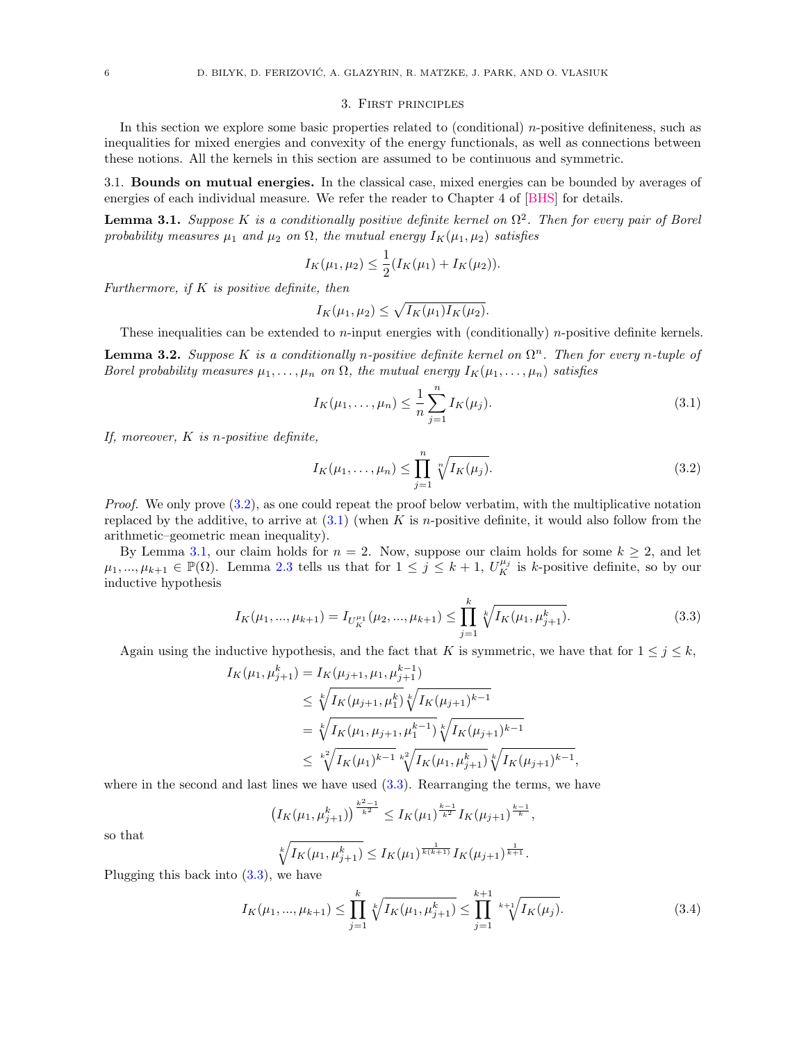#### 3. First principles

<span id="page-5-0"></span>In this section we explore some basic properties related to (conditional)  $n$ -positive definiteness, such as inequalities for mixed energies and convexity of the energy functionals, as well as connections between these notions. All the kernels in this section are assumed to be continuous and symmetric.

<span id="page-5-1"></span>3.1. Bounds on mutual energies. In the classical case, mixed energies can be bounded by averages of energies of each individual measure. We refer the reader to Chapter 4 of [\[BHS\]](#page-21-4) for details.

<span id="page-5-4"></span>**Lemma 3.1.** Suppose K is a conditionally positive definite kernel on  $\Omega^2$ . Then for every pair of Borel probability measures  $\mu_1$  and  $\mu_2$  on  $\Omega$ , the mutual energy  $I_K(\mu_1, \mu_2)$  satisfies

$$
I_K(\mu_1, \mu_2) \leq \frac{1}{2}(I_K(\mu_1) + I_K(\mu_2)).
$$

Furthermore, if  $K$  is positive definite, then

$$
I_K(\mu_1, \mu_2) \leq \sqrt{I_K(\mu_1)I_K(\mu_2)}
$$
.

These inequalities can be extended to *n*-input energies with (conditionally) *n*-positive definite kernels.

<span id="page-5-6"></span>**Lemma 3.2.** Suppose K is a conditionally n-positive definite kernel on  $\Omega^n$ . Then for every n-tuple of Borel probability measures  $\mu_1, \ldots, \mu_n$  on  $\Omega$ , the mutual energy  $I_K(\mu_1, \ldots, \mu_n)$  satisfies

<span id="page-5-3"></span>
$$
I_K(\mu_1, \dots, \mu_n) \le \frac{1}{n} \sum_{j=1}^n I_K(\mu_j).
$$
\n(3.1)

If, moreover,  $K$  is n-positive definite,

<span id="page-5-2"></span>
$$
I_K(\mu_1, ..., \mu_n) \le \prod_{j=1}^n \sqrt[n]{I_K(\mu_j)}.
$$
\n(3.2)

Proof. We only prove  $(3.2)$ , as one could repeat the proof below verbatim, with the multiplicative notation replaced by the additive, to arrive at  $(3.1)$  (when K is *n*-positive definite, it would also follow from the arithmetic–geometric mean inequality).

By Lemma [3.1,](#page-5-4) our claim holds for  $n = 2$ . Now, suppose our claim holds for some  $k \geq 2$ , and let  $\mu_1, ..., \mu_{k+1} \in \mathbb{P}(\Omega)$ . Lemma [2.3](#page-4-0) tells us that for  $1 \leq j \leq k+1$ ,  $U_K^{\mu_j}$  is k-positive definite, so by our inductive hypothesis

<span id="page-5-5"></span>
$$
I_K(\mu_1, ..., \mu_{k+1}) = I_{U_K^{\mu_1}}(\mu_2, ..., \mu_{k+1}) \le \prod_{j=1}^k \sqrt[k]{I_K(\mu_1, \mu_{j+1}^k)}.
$$
\n(3.3)

Again using the inductive hypothesis, and the fact that K is symmetric, we have that for  $1 \leq j \leq k$ ,

$$
I_K(\mu_1, \mu_{j+1}^k) = I_K(\mu_{j+1}, \mu_1, \mu_{j+1}^{k-1})
$$
  
\n
$$
\leq \sqrt[k]{I_K(\mu_{j+1}, \mu_1^k)} \sqrt[k]{I_K(\mu_{j+1})^{k-1}}
$$
  
\n
$$
= \sqrt[k]{I_K(\mu_1, \mu_{j+1}, \mu_1^{k-1})} \sqrt[k]{I_K(\mu_{j+1})^{k-1}}
$$
  
\n
$$
\leq \sqrt[k]{I_K(\mu_1)^{k-1}} \sqrt[k]{I_K(\mu_1, \mu_{j+1}^k)} \sqrt[k]{I_K(\mu_{j+1})^{k-1}},
$$

where in the second and last lines we have used  $(3.3)$ . Rearranging the terms, we have

$$
\left(I_K(\mu_1, \mu_{j+1}^k)\right)^{\frac{k^2-1}{k^2}} \le I_K(\mu_1)^{\frac{k-1}{k^2}} I_K(\mu_{j+1})^{\frac{k-1}{k}},
$$

so that

$$
\sqrt[k]{I_K(\mu_1, \mu_{j+1}^k)} \leq I_K(\mu_1)^{\frac{1}{k(k+1)}} I_K(\mu_{j+1})^{\frac{1}{k+1}}.
$$

Plugging this back into [\(3.3\)](#page-5-5), we have

$$
I_K(\mu_1, ..., \mu_{k+1}) \le \prod_{j=1}^k \sqrt[k]{I_K(\mu_1, \mu_{j+1}^k)} \le \prod_{j=1}^{k+1} \sqrt[k+1]{I_K(\mu_j)}.
$$
\n(3.4)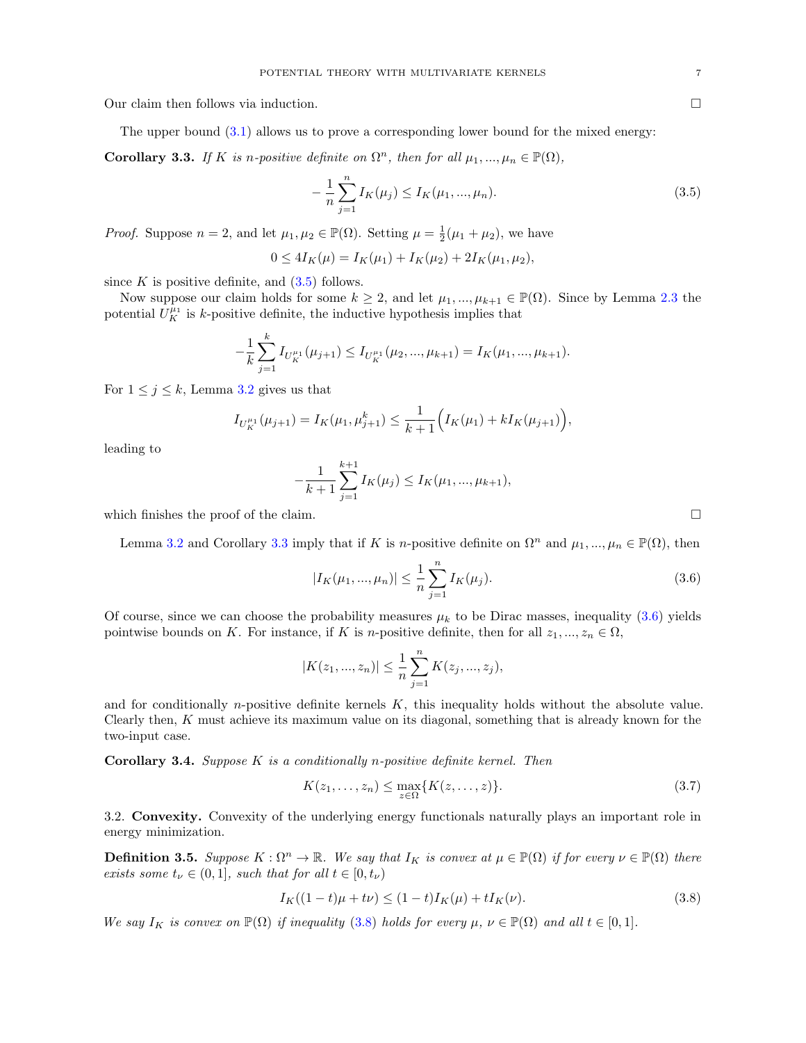Our claim then follows via induction.

The upper bound [\(3.1\)](#page-5-3) allows us to prove a corresponding lower bound for the mixed energy:

<span id="page-6-2"></span>**Corollary 3.3.** If K is n-positive definite on  $\Omega^n$ , then for all  $\mu_1, ..., \mu_n \in \mathbb{P}(\Omega)$ ,

<span id="page-6-1"></span>
$$
-\frac{1}{n}\sum_{j=1}^{n}I_{K}(\mu_{j})\leq I_{K}(\mu_{1},...,\mu_{n}).
$$
\n(3.5)

*Proof.* Suppose  $n = 2$ , and let  $\mu_1, \mu_2 \in \mathbb{P}(\Omega)$ . Setting  $\mu = \frac{1}{2}(\mu_1 + \mu_2)$ , we have

 $0 \leq 4I_K(\mu) = I_K(\mu_1) + I_K(\mu_2) + 2I_K(\mu_1, \mu_2),$ 

since  $K$  is positive definite, and  $(3.5)$  follows.

Now suppose our claim holds for some  $k \geq 2$ , and let  $\mu_1, ..., \mu_{k+1} \in \mathbb{P}(\Omega)$ . Since by Lemma [2.3](#page-4-0) the potential  $U_K^{\mu_1}$  is k-positive definite, the inductive hypothesis implies that

$$
-\frac{1}{k}\sum_{j=1}^k I_{U_K^{\mu_1}}(\mu_{j+1}) \le I_{U_K^{\mu_1}}(\mu_2, ..., \mu_{k+1}) = I_K(\mu_1, ..., \mu_{k+1}).
$$

For  $1 \leq j \leq k$ , Lemma [3.2](#page-5-6) gives us that

$$
I_{U_K^{\mu_1}}(\mu_{j+1}) = I_K(\mu_1, \mu_{j+1}^k) \le \frac{1}{k+1} \Big( I_K(\mu_1) + k I_K(\mu_{j+1}) \Big),
$$

leading to

$$
-\frac{1}{k+1}\sum_{j=1}^{k+1}I_K(\mu_j)\leq I_K(\mu_1,...,\mu_{k+1}),
$$

which finishes the proof of the claim.  $\Box$ 

Lemma [3.2](#page-5-6) and Corollary [3.3](#page-6-2) imply that if K is n-positive definite on  $\Omega^n$  and  $\mu_1, ..., \mu_n \in \mathbb{P}(\Omega)$ , then

<span id="page-6-3"></span>
$$
|I_K(\mu_1, ..., \mu_n)| \le \frac{1}{n} \sum_{j=1}^n I_K(\mu_j).
$$
\n(3.6)

Of course, since we can choose the probability measures  $\mu_k$  to be Dirac masses, inequality [\(3.6\)](#page-6-3) yields pointwise bounds on K. For instance, if K is n-positive definite, then for all  $z_1, ..., z_n \in \Omega$ ,

$$
|K(z_1, ..., z_n)| \leq \frac{1}{n} \sum_{j=1}^n K(z_j, ..., z_j),
$$

and for conditionally *n*-positive definite kernels  $K$ , this inequality holds without the absolute value. Clearly then,  $K$  must achieve its maximum value on its diagonal, something that is already known for the two-input case.

**Corollary 3.4.** Suppose  $K$  is a conditionally n-positive definite kernel. Then

$$
K(z_1, \ldots, z_n) \le \max_{z \in \Omega} \{ K(z, \ldots, z) \}.
$$
\n(3.7)

<span id="page-6-0"></span>3.2. Convexity. Convexity of the underlying energy functionals naturally plays an important role in energy minimization.

**Definition 3.5.** Suppose  $K : \Omega^n \to \mathbb{R}$ . We say that  $I_K$  is convex at  $\mu \in \mathbb{P}(\Omega)$  if for every  $\nu \in \mathbb{P}(\Omega)$  there exists some  $t_{\nu} \in (0,1]$ , such that for all  $t \in [0, t_{\nu})$ 

<span id="page-6-4"></span>
$$
I_K((1-t)\mu + t\nu) \le (1-t)I_K(\mu) + tI_K(\nu). \tag{3.8}
$$

We say  $I_K$  is convex on  $\mathbb{P}(\Omega)$  if inequality [\(3.8\)](#page-6-4) holds for every  $\mu, \nu \in \mathbb{P}(\Omega)$  and all  $t \in [0,1]$ .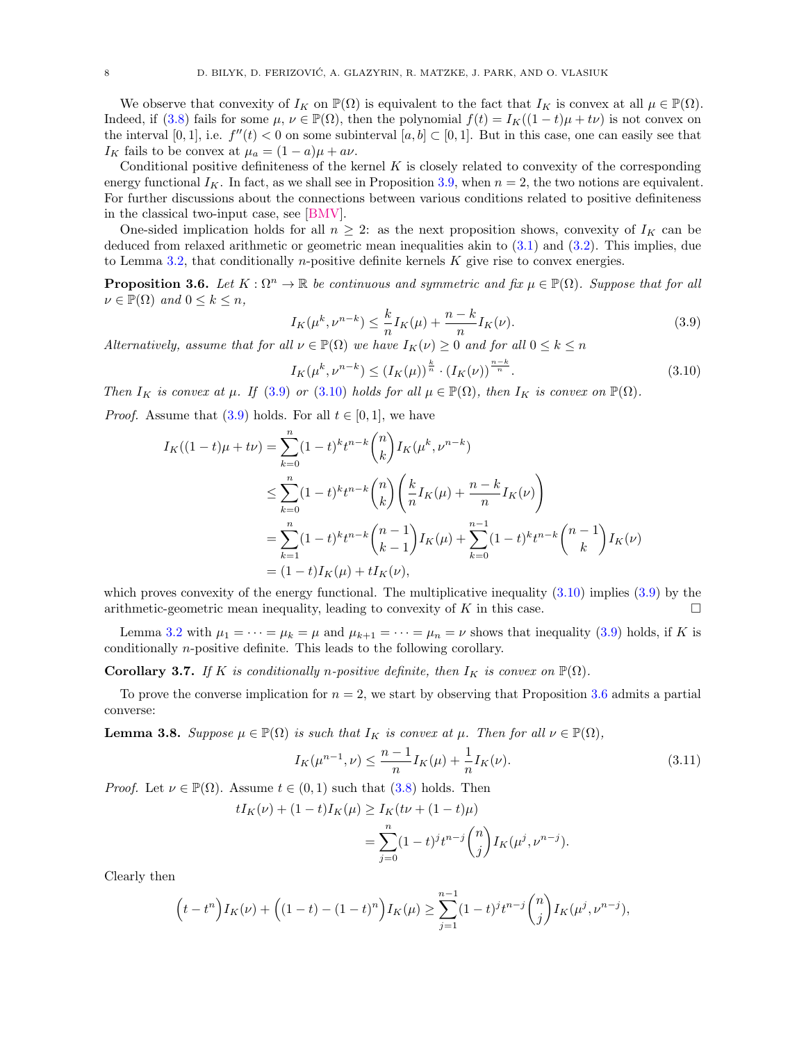We observe that convexity of  $I_K$  on  $\mathbb{P}(\Omega)$  is equivalent to the fact that  $I_K$  is convex at all  $\mu \in \mathbb{P}(\Omega)$ . Indeed, if [\(3.8\)](#page-6-4) fails for some  $\mu$ ,  $\nu \in \mathbb{P}(\Omega)$ , then the polynomial  $f(t) = I_K((1-t)\mu + t\nu)$  is not convex on the interval [0, 1], i.e.  $f''(t) < 0$  on some subinterval [a, b]  $\subset [0, 1]$ . But in this case, one can easily see that  $I_K$  fails to be convex at  $\mu_a = (1 - a)\mu + a\nu$ .

Conditional positive definiteness of the kernel  $K$  is closely related to convexity of the corresponding energy functional  $I_K$ . In fact, as we shall see in Proposition [3.9,](#page-8-0) when  $n = 2$ , the two notions are equivalent. For further discussions about the connections between various conditions related to positive definiteness in the classical two-input case, see [\[BMV\]](#page-21-19).

One-sided implication holds for all  $n \geq 2$ : as the next proposition shows, convexity of  $I_K$  can be deduced from relaxed arithmetic or geometric mean inequalities akin to [\(3.1\)](#page-5-3) and [\(3.2\)](#page-5-2). This implies, due to Lemma [3.2,](#page-5-6) that conditionally *n*-positive definite kernels  $K$  give rise to convex energies.

<span id="page-7-2"></span>**Proposition 3.6.** Let  $K : \Omega^n \to \mathbb{R}$  be continuous and symmetric and fix  $\mu \in \mathbb{P}(\Omega)$ . Suppose that for all  $\nu \in \mathbb{P}(\Omega)$  and  $0 \leq k \leq n$ ,

<span id="page-7-0"></span>
$$
I_K(\mu^k, \nu^{n-k}) \le \frac{k}{n} I_K(\mu) + \frac{n-k}{n} I_K(\nu). \tag{3.9}
$$

Alternatively, assume that for all  $\nu \in \mathbb{P}(\Omega)$  we have  $I_K(\nu) \geq 0$  and for all  $0 \leq k \leq n$ 

<span id="page-7-1"></span>
$$
I_K(\mu^k, \nu^{n-k}) \le (I_K(\mu))^{\frac{k}{n}} \cdot (I_K(\nu))^{\frac{n-k}{n}}.
$$
\n(3.10)

Then  $I_K$  is convex at  $\mu$ . If [\(3.9\)](#page-7-0) or [\(3.10\)](#page-7-1) holds for all  $\mu \in \mathbb{P}(\Omega)$ , then  $I_K$  is convex on  $\mathbb{P}(\Omega)$ .

*Proof.* Assume that  $(3.9)$  holds. For all  $t \in [0, 1]$ , we have

$$
I_K((1-t)\mu + t\nu) = \sum_{k=0}^n (1-t)^k t^{n-k} {n \choose k} I_K(\mu^k, \nu^{n-k})
$$
  
\n
$$
\leq \sum_{k=0}^n (1-t)^k t^{n-k} {n \choose k} \left( \frac{k}{n} I_K(\mu) + \frac{n-k}{n} I_K(\nu) \right)
$$
  
\n
$$
= \sum_{k=1}^n (1-t)^k t^{n-k} {n-1 \choose k-1} I_K(\mu) + \sum_{k=0}^{n-1} (1-t)^k t^{n-k} {n-1 \choose k} I_K(\nu)
$$
  
\n
$$
= (1-t)I_K(\mu) + tI_K(\nu),
$$

which proves convexity of the energy functional. The multiplicative inequality  $(3.10)$  implies  $(3.9)$  by the arithmetic-geometric mean inequality, leading to convexity of K in this case.

Lemma [3.2](#page-5-6) with  $\mu_1 = \cdots = \mu_k = \mu$  and  $\mu_{k+1} = \cdots = \mu_n = \nu$  shows that inequality [\(3.9\)](#page-7-0) holds, if K is conditionally n-positive definite. This leads to the following corollary.

<span id="page-7-4"></span>**Corollary 3.7.** If K is conditionally n-positive definite, then  $I_K$  is convex on  $\mathbb{P}(\Omega)$ .

To prove the converse implication for  $n = 2$ , we start by observing that Proposition [3.6](#page-7-2) admits a partial converse:

<span id="page-7-3"></span>**Lemma 3.8.** Suppose  $\mu \in \mathbb{P}(\Omega)$  is such that  $I_K$  is convex at  $\mu$ . Then for all  $\nu \in \mathbb{P}(\Omega)$ ,

<span id="page-7-5"></span>
$$
I_K(\mu^{n-1}, \nu) \le \frac{n-1}{n} I_K(\mu) + \frac{1}{n} I_K(\nu). \tag{3.11}
$$

*Proof.* Let  $\nu \in \mathbb{P}(\Omega)$ . Assume  $t \in (0,1)$  such that  $(3.8)$  holds. Then

$$
tI_K(\nu) + (1-t)I_K(\mu) \ge I_K(t\nu + (1-t)\mu)
$$
  
= 
$$
\sum_{j=0}^n (1-t)^j t^{n-j} {n \choose j} I_K(\mu^j, \nu^{n-j}).
$$

Clearly then

$$
(t - t^n)I_K(\nu) + ((1 - t) - (1 - t)^n)I_K(\mu) \ge \sum_{j=1}^{n-1} (1 - t)^j t^{n-j} {n \choose j} I_K(\mu^j, \nu^{n-j}),
$$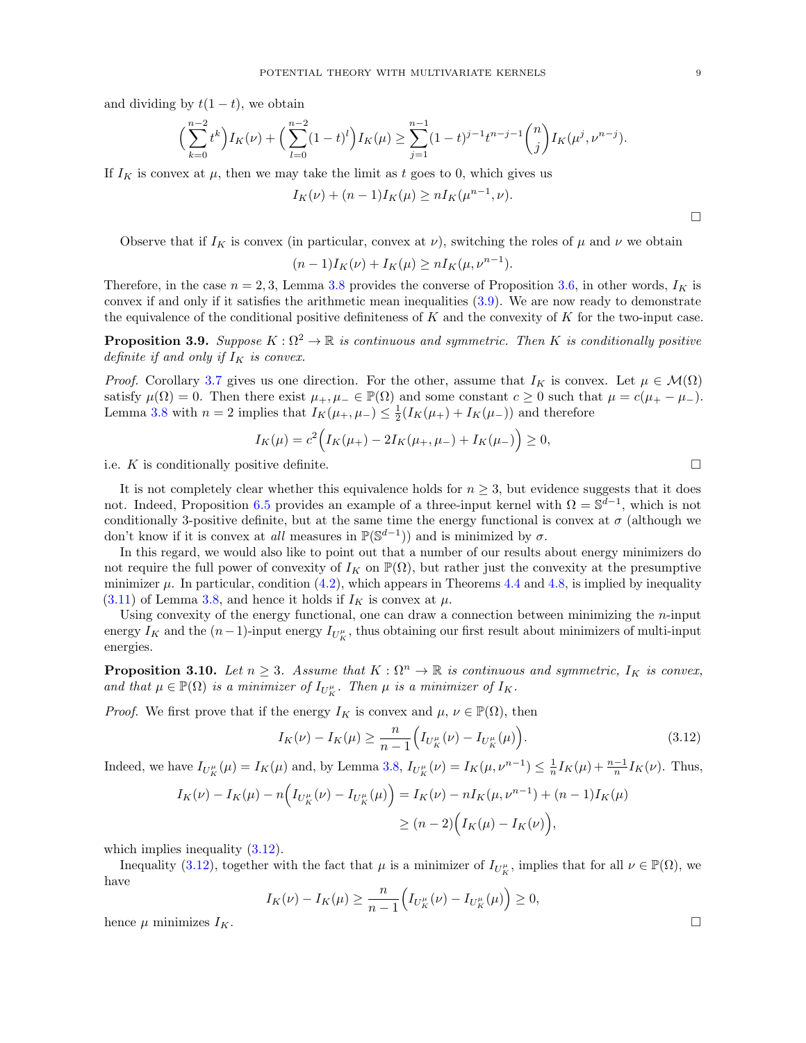and dividing by  $t(1-t)$ , we obtain

$$
\left(\sum_{k=0}^{n-2} t^k\right) I_K(\nu) + \left(\sum_{l=0}^{n-2} (1-t)^l\right) I_K(\mu) \ge \sum_{j=1}^{n-1} (1-t)^{j-1} t^{n-j-1} {n \choose j} I_K(\mu^j, \nu^{n-j}).
$$

If  $I_K$  is convex at  $\mu$ , then we may take the limit as t goes to 0, which gives us

$$
I_K(\nu) + (n-1)I_K(\mu) \ge nI_K(\mu^{n-1}, \nu).
$$

Observe that if  $I_K$  is convex (in particular, convex at  $\nu$ ), switching the roles of  $\mu$  and  $\nu$  we obtain

$$
(n-1)IK(\nu) + IK(\mu) \ge nIK(\mu, \nu^{n-1}).
$$

Therefore, in the case  $n = 2, 3$ , Lemma [3.8](#page-7-3) provides the converse of Proposition [3.6,](#page-7-2) in other words,  $I_K$  is convex if and only if it satisfies the arithmetic mean inequalities  $(3.9)$ . We are now ready to demonstrate the equivalence of the conditional positive definiteness of  $K$  and the convexity of  $K$  for the two-input case.

<span id="page-8-0"></span>**Proposition 3.9.** Suppose  $K : \Omega^2 \to \mathbb{R}$  is continuous and symmetric. Then K is conditionally positive definite if and only if  $I_K$  is convex.

*Proof.* Corollary [3.7](#page-7-4) gives us one direction. For the other, assume that  $I_K$  is convex. Let  $\mu \in \mathcal{M}(\Omega)$ satisfy  $\mu(\Omega) = 0$ . Then there exist  $\mu_+, \mu_- \in \mathbb{P}(\Omega)$  and some constant  $c \geq 0$  such that  $\mu = c(\mu_+ - \mu_-)$ . Lemma [3.8](#page-7-3) with  $n = 2$  implies that  $I_K(\mu_+,\mu_-) \leq \frac{1}{2}(I_K(\mu_+)+I_K(\mu_-))$  and therefore

$$
I_K(\mu) = c^2 \Big( I_K(\mu_+) - 2I_K(\mu_+,\mu_-) + I_K(\mu_-) \Big) \ge 0,
$$

i.e. K is conditionally positive definite.

It is not completely clear whether this equivalence holds for  $n \geq 3$ , but evidence suggests that it does not. Indeed, Proposition [6.5](#page-17-1) provides an example of a three-input kernel with  $\Omega = \mathbb{S}^{d-1}$ , which is not conditionally 3-positive definite, but at the same time the energy functional is convex at  $\sigma$  (although we don't know if it is convex at *all* measures in  $\mathbb{P}(\mathbb{S}^{d-1})$  and is minimized by  $\sigma$ .

In this regard, we would also like to point out that a number of our results about energy minimizers do not require the full power of convexity of  $I_K$  on  $\mathbb{P}(\Omega)$ , but rather just the convexity at the presumptive minimizer  $\mu$ . In particular, condition [\(4.2\)](#page-10-3), which appears in Theorems [4.4](#page-10-0) and [4.8,](#page-11-0) is implied by inequality  $(3.11)$  of Lemma [3.8,](#page-7-3) and hence it holds if  $I_K$  is convex at  $\mu$ .

Using convexity of the energy functional, one can draw a connection between minimizing the  $n$ -input energy  $I_K$  and the  $(n-1)$ -input energy  $I_{U_K^{\mu}}$ , thus obtaining our first result about minimizers of multi-input energies.

<span id="page-8-2"></span>**Proposition 3.10.** Let  $n \geq 3$ . Assume that  $K : \Omega^n \to \mathbb{R}$  is continuous and symmetric,  $I_K$  is convex, and that  $\mu \in \mathbb{P}(\Omega)$  is a minimizer of  $I_{U_K^{\mu}}$ . Then  $\mu$  is a minimizer of  $I_K$ .

*Proof.* We first prove that if the energy  $I_K$  is convex and  $\mu, \nu \in \mathbb{P}(\Omega)$ , then

<span id="page-8-1"></span>
$$
I_K(\nu) - I_K(\mu) \ge \frac{n}{n-1} \Big( I_{U_K^{\mu}}(\nu) - I_{U_K^{\mu}}(\mu) \Big). \tag{3.12}
$$

Indeed, we have  $I_{U_K^{\mu}}(\mu) = I_K(\mu)$  and, by Lemma [3.8,](#page-7-3)  $I_{U_K^{\mu}}(\nu) = I_K(\mu, \nu^{n-1}) \leq \frac{1}{n} I_K(\mu) + \frac{n-1}{n} I_K(\nu)$ . Thus,

$$
I_K(\nu) - I_K(\mu) - n \Big( I_{U_K^{\mu}}(\nu) - I_{U_K^{\mu}}(\mu) \Big) = I_K(\nu) - n I_K(\mu, \nu^{n-1}) + (n-1) I_K(\mu)
$$
  

$$
\geq (n-2) \Big( I_K(\mu) - I_K(\nu) \Big),
$$

which implies inequality  $(3.12)$ .

Inequality [\(3.12\)](#page-8-1), together with the fact that  $\mu$  is a minimizer of  $I_{U_K^{\mu}}$ , implies that for all  $\nu \in \mathbb{P}(\Omega)$ , we have

$$
I_K(\nu) - I_K(\mu) \ge \frac{n}{n-1} \Big( I_{U_K^{\mu}}(\nu) - I_{U_K^{\mu}}(\mu) \Big) \ge 0,
$$

hence  $\mu$  minimizes  $I_K$ .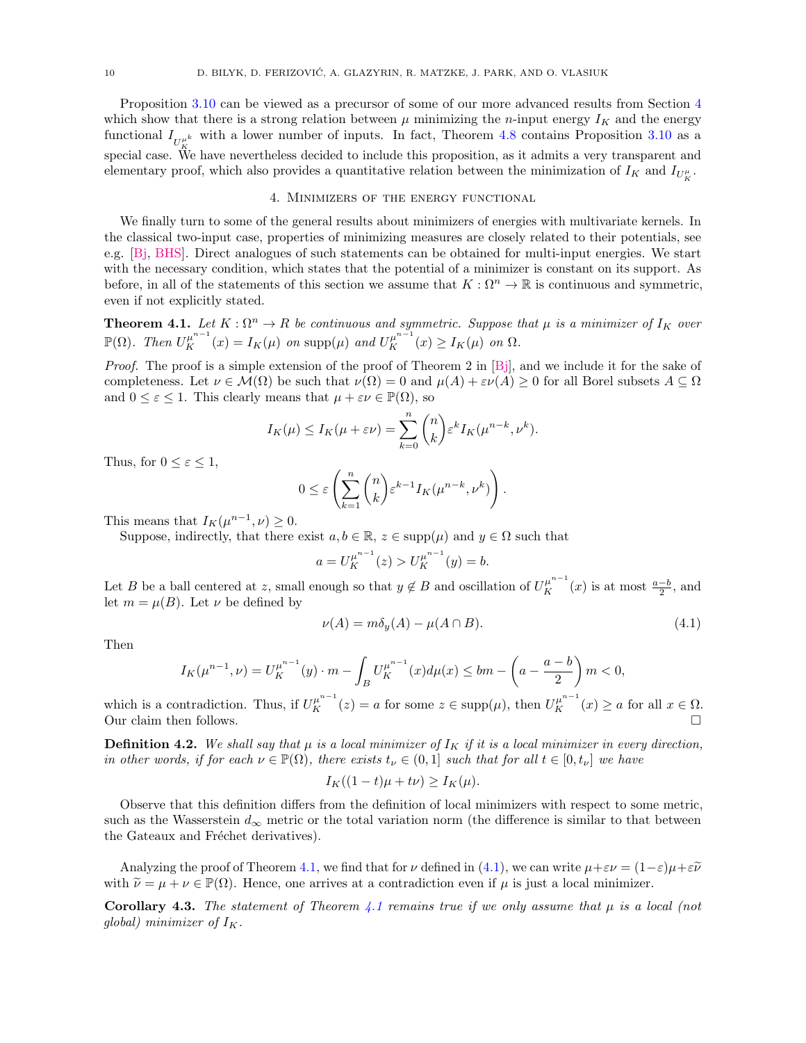Proposition [3.10](#page-8-2) can be viewed as a precursor of some of our more advanced results from Section [4](#page-9-0) which show that there is a strong relation between  $\mu$  minimizing the *n*-input energy  $I_K$  and the energy functional  $I_{U_K^{\mu^k}}$  with a lower number of inputs. In fact, Theorem [4.8](#page-11-0) contains Proposition [3.10](#page-8-2) as a special case. We have nevertheless decided to include this proposition, as it admits a very transparent and elementary proof, which also provides a quantitative relation between the minimization of  $I_K$  and  $I_{U_K^{\mu}}$ .

## 4. Minimizers of the energy functional

<span id="page-9-0"></span>We finally turn to some of the general results about minimizers of energies with multivariate kernels. In the classical two-input case, properties of minimizing measures are closely related to their potentials, see e.g. [\[Bj,](#page-21-1) [BHS\]](#page-21-4). Direct analogues of such statements can be obtained for multi-input energies. We start with the necessary condition, which states that the potential of a minimizer is constant on its support. As before, in all of the statements of this section we assume that  $K : \Omega^n \to \mathbb{R}$  is continuous and symmetric, even if not explicitly stated.

<span id="page-9-1"></span>**Theorem 4.1.** Let  $K : \Omega^n \to R$  be continuous and symmetric. Suppose that  $\mu$  is a minimizer of  $I_K$  over  $\mathbb{P}(\Omega)$ . Then  $U_K^{\mu^{n-1}}(x) = I_K(\mu)$  on  $\text{supp}(\mu)$  and  $U_K^{\mu^{n-1}}(x) \geq I_K(\mu)$  on  $\Omega$ .

*Proof.* The proof is a simple extension of the proof of Theorem 2 in [\[Bj\]](#page-21-1), and we include it for the sake of completeness. Let  $\nu \in \mathcal{M}(\Omega)$  be such that  $\nu(\Omega) = 0$  and  $\mu(A) + \varepsilon \nu(A) \geq 0$  for all Borel subsets  $A \subseteq \Omega$ and  $0 \leq \varepsilon \leq 1$ . This clearly means that  $\mu + \varepsilon \nu \in \mathbb{P}(\Omega)$ , so

$$
I_K(\mu) \le I_K(\mu + \varepsilon \nu) = \sum_{k=0}^n \binom{n}{k} \varepsilon^k I_K(\mu^{n-k}, \nu^k).
$$

Thus, for  $0 \leq \varepsilon \leq 1$ ,

$$
0 \leq \varepsilon \left( \sum_{k=1}^n \binom{n}{k} \varepsilon^{k-1} I_K(\mu^{n-k}, \nu^k) \right).
$$

This means that  $I_K(\mu^{n-1}, \nu) \geq 0$ .

Suppose, indirectly, that there exist  $a, b \in \mathbb{R}$ ,  $z \in \text{supp}(\mu)$  and  $y \in \Omega$  such that

$$
a = U_K^{\mu^{n-1}}(z) > U_K^{\mu^{n-1}}(y) = b.
$$

Let B be a ball centered at z, small enough so that  $y \notin B$  and oscillation of  $U_K^{\mu^{n-1}}(x)$  is at most  $\frac{a-b}{2}$ , and let  $m = \mu(B)$ . Let  $\nu$  be defined by

<span id="page-9-2"></span>
$$
\nu(A) = m\delta_y(A) - \mu(A \cap B). \tag{4.1}
$$

Then

$$
I_K(\mu^{n-1}, \nu) = U_K^{\mu^{n-1}}(y) \cdot m - \int_B U_K^{\mu^{n-1}}(x) d\mu(x) \leq bm - \left(a - \frac{a-b}{2}\right)m < 0,
$$

which is a contradiction. Thus, if  $U_K^{\mu^{n-1}}(z) = a$  for some  $z \in \text{supp}(\mu)$ , then  $U_K^{\mu^{n-1}}(x) \ge a$  for all  $x \in \Omega$ . Our claim then follows.

**Definition 4.2.** We shall say that  $\mu$  is a local minimizer of  $I_K$  if it is a local minimizer in every direction, in other words, if for each  $\nu \in \mathbb{P}(\Omega)$ , there exists  $t_{\nu} \in (0,1]$  such that for all  $t \in [0,t_{\nu}]$  we have

$$
I_K((1-t)\mu + t\nu) \ge I_K(\mu).
$$

Observe that this definition differs from the definition of local minimizers with respect to some metric, such as the Wasserstein  $d_{\infty}$  metric or the total variation norm (the difference is similar to that between the Gateaux and Fréchet derivatives).

Analyzing the proof of Theorem [4.1,](#page-9-1) we find that for  $\nu$  defined in [\(4.1\)](#page-9-2), we can write  $\mu + \varepsilon \nu = (1-\varepsilon)\mu + \varepsilon \tilde{\nu}$ with  $\tilde{\nu} = \mu + \nu \in \mathbb{P}(\Omega)$ . Hence, one arrives at a contradiction even if  $\mu$  is just a local minimizer.

<span id="page-9-3"></span>**Corollary 4.3.** The statement of Theorem [4.1](#page-9-1) remains true if we only assume that  $\mu$  is a local (not qlobal) minimizer of  $I_K$ .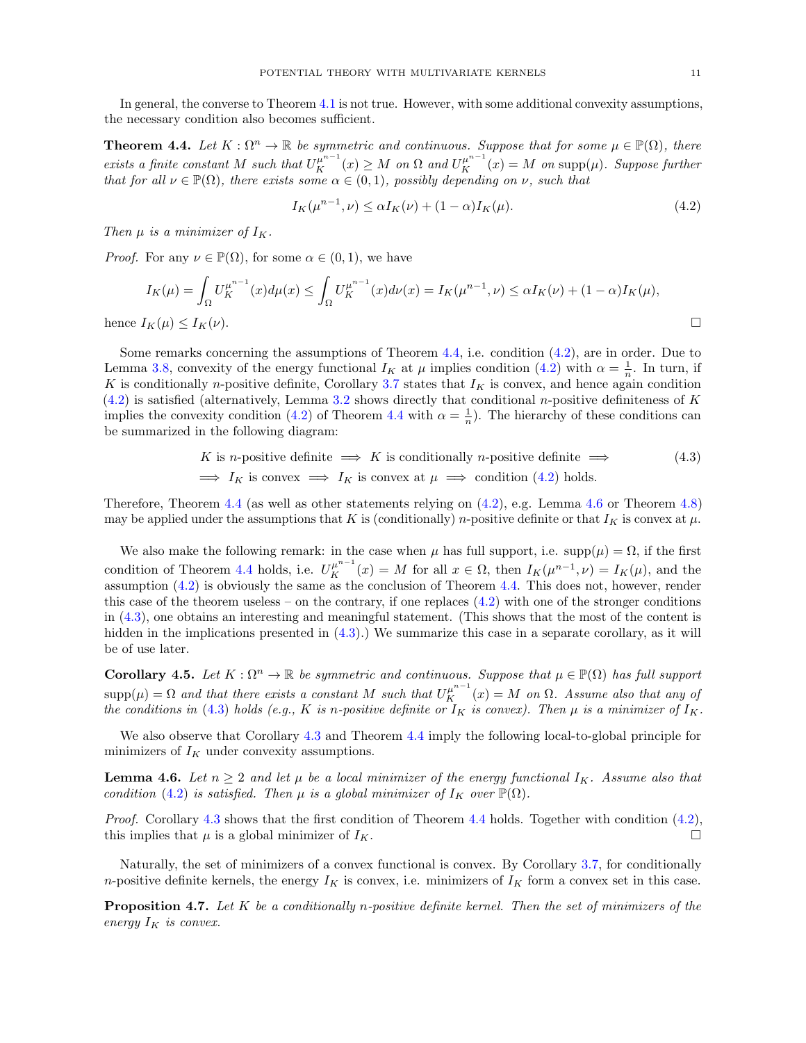In general, the converse to Theorem [4.1](#page-9-1) is not true. However, with some additional convexity assumptions, the necessary condition also becomes sufficient.

<span id="page-10-0"></span>**Theorem 4.4.** Let  $K : \Omega^n \to \mathbb{R}$  be symmetric and continuous. Suppose that for some  $\mu \in \mathbb{P}(\Omega)$ , there exists a finite constant M such that  $U_K^{\mu^{n-1}}(x) \geq M$  on  $\Omega$  and  $U_K^{\mu^{n-1}}(x) = M$  on supp $(\mu)$ . Suppose further that for all  $\nu \in \mathbb{P}(\Omega)$ , there exists some  $\alpha \in (0,1)$ , possibly depending on  $\nu$ , such that

<span id="page-10-4"></span><span id="page-10-3"></span>
$$
I_K(\mu^{n-1}, \nu) \le \alpha I_K(\nu) + (1 - \alpha)I_K(\mu). \tag{4.2}
$$

Then  $\mu$  is a minimizer of  $I_K$ .

*Proof.* For any  $\nu \in \mathbb{P}(\Omega)$ , for some  $\alpha \in (0,1)$ , we have

$$
I_K(\mu) = \int_{\Omega} U_K^{\mu^{n-1}}(x) d\mu(x) \le \int_{\Omega} U_K^{\mu^{n-1}}(x) d\nu(x) = I_K(\mu^{n-1}, \nu) \le \alpha I_K(\nu) + (1 - \alpha) I_K(\mu),
$$
  
hence  $I_K(\mu) \le I_K(\nu)$ .

Some remarks concerning the assumptions of Theorem [4.4,](#page-10-0) i.e. condition [\(4.2\)](#page-10-3), are in order. Due to Lemma [3.8,](#page-7-3) convexity of the energy functional  $I_K$  at  $\mu$  implies condition [\(4.2\)](#page-10-3) with  $\alpha = \frac{1}{n}$ . In turn, if K is conditionally n-positive definite, Corollary [3.7](#page-7-4) states that  $I_K$  is convex, and hence again condition  $(4.2)$  is satisfied (alternatively, Lemma [3.2](#page-5-6) shows directly that conditional n-positive definiteness of K implies the convexity condition [\(4.2\)](#page-10-3) of Theorem [4.4](#page-10-0) with  $\alpha = \frac{1}{n}$ ). The hierarchy of these conditions can be summarized in the following diagram:

K is *n*-positive definite 
$$
\implies
$$
 K is conditionally *n*-positive definite  $\implies$  (4.3)  
 $\implies I_K$  is convex  $\implies I_K$  is convex at  $\mu \implies$  condition (4.2) holds.

Therefore, Theorem [4.4](#page-10-0) (as well as other statements relying on [\(4.2\)](#page-10-3), e.g. Lemma [4.6](#page-10-1) or Theorem [4.8\)](#page-11-0) may be applied under the assumptions that K is (conditionally) n-positive definite or that  $I_K$  is convex at  $\mu$ .

We also make the following remark: in the case when  $\mu$  has full support, i.e. supp $(\mu) = \Omega$ , if the first condition of Theorem [4.4](#page-10-0) holds, i.e.  $U_K^{\mu^{n-1}}(x) = M$  for all  $x \in \Omega$ , then  $I_K(\mu^{n-1}, \nu) = I_K(\mu)$ , and the assumption [\(4.2\)](#page-10-3) is obviously the same as the conclusion of Theorem [4.4.](#page-10-0) This does not, however, render this case of the theorem useless – on the contrary, if one replaces  $(4.2)$  with one of the stronger conditions in [\(4.3\)](#page-10-4), one obtains an interesting and meaningful statement. (This shows that the most of the content is hidden in the implications presented in  $(4.3)$ .) We summarize this case in a separate corollary, as it will be of use later.

<span id="page-10-2"></span>**Corollary 4.5.** Let  $K : \Omega^n \to \mathbb{R}$  be symmetric and continuous. Suppose that  $\mu \in \mathbb{P}(\Omega)$  has full support  $\text{supp}(\mu) = \Omega$  and that there exists a constant M such that  $U_K^{\mu^{n-1}}(x) = M$  on  $\Omega$ . Assume also that any of the conditions in [\(4.3\)](#page-10-4) holds (e.g., K is n-positive definite or  $I_K$  is convex). Then  $\mu$  is a minimizer of  $I_K$ .

We also observe that Corollary [4.3](#page-9-3) and Theorem [4.4](#page-10-0) imply the following local-to-global principle for minimizers of  $I_K$  under convexity assumptions.

<span id="page-10-1"></span>**Lemma 4.6.** Let  $n \geq 2$  and let  $\mu$  be a local minimizer of the energy functional  $I_K$ . Assume also that condition [\(4.2\)](#page-10-3) is satisfied. Then  $\mu$  is a global minimizer of  $I_K$  over  $\mathbb{P}(\Omega)$ .

*Proof.* Corollary [4.3](#page-9-3) shows that the first condition of Theorem [4.4](#page-10-0) holds. Together with condition  $(4.2)$ , this implies that  $\mu$  is a global minimizer of  $I_K$ .

Naturally, the set of minimizers of a convex functional is convex. By Corollary [3.7,](#page-7-4) for conditionally n-positive definite kernels, the energy  $I_K$  is convex, i.e. minimizers of  $I_K$  form a convex set in this case.

**Proposition 4.7.** Let  $K$  be a conditionally n-positive definite kernel. Then the set of minimizers of the energy  $I_K$  is convex.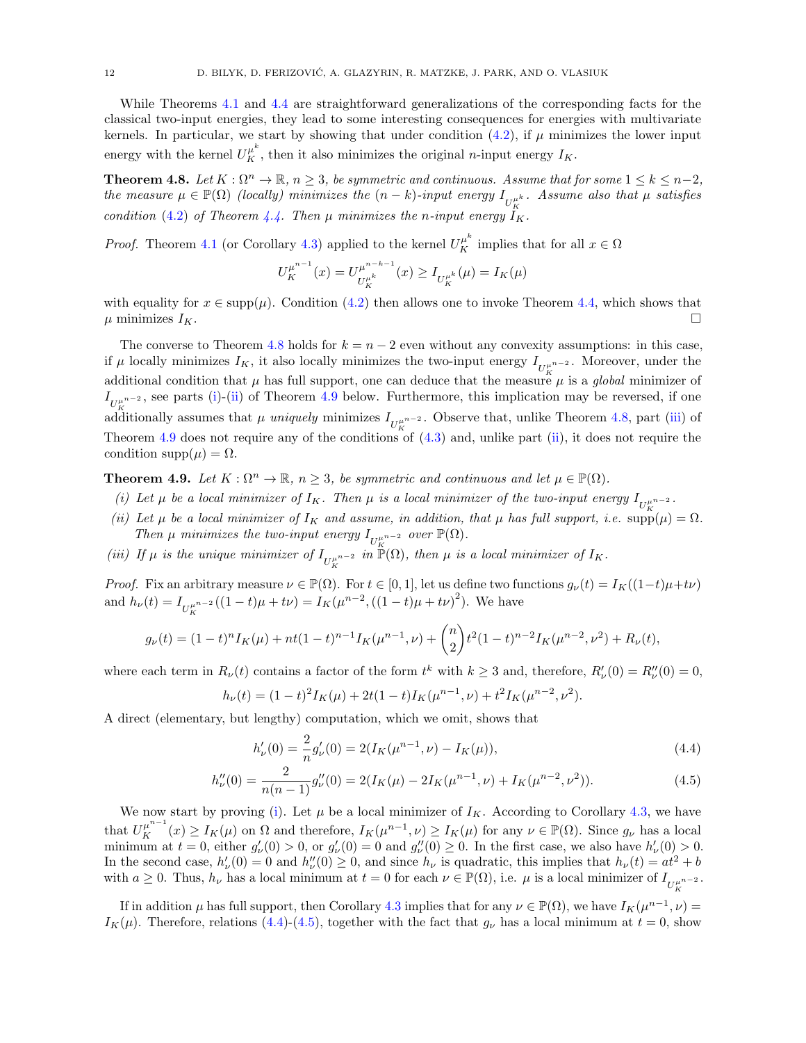While Theorems [4.1](#page-9-1) and [4.4](#page-10-0) are straightforward generalizations of the corresponding facts for the classical two-input energies, they lead to some interesting consequences for energies with multivariate kernels. In particular, we start by showing that under condition  $(4.2)$ , if  $\mu$  minimizes the lower input energy with the kernel  $U_K^{\mu^k}$ , then it also minimizes the original *n*-input energy  $I_K$ .

<span id="page-11-0"></span>**Theorem 4.8.** Let  $K : \Omega^n \to \mathbb{R}$ ,  $n \geq 3$ , be symmetric and continuous. Assume that for some  $1 \leq k \leq n-2$ , the measure  $\mu \in \mathbb{P}(\Omega)$  (locally) minimizes the  $(n-k)$ -input energy  $I_{U_K^{\mu^k}}$ . Assume also that  $\mu$  satisfies condition [\(4.2\)](#page-10-3) of Theorem [4.4.](#page-10-0) Then  $\mu$  minimizes the n-input energy  $I_K$ .

*Proof.* Theorem [4.1](#page-9-1) (or Corollary [4.3\)](#page-9-3) applied to the kernel  $U_K^{\mu^k}$  implies that for all  $x \in \Omega$ 

$$
U_K^{\mu^{n-1}}(x) = U_{U_K^{\mu^k}}^{\mu^{n-k-1}}(x) \ge I_{U_K^{\mu^k}}(\mu) = I_K(\mu)
$$

with equality for  $x \in \text{supp}(\mu)$ . Condition [\(4.2\)](#page-10-3) then allows one to invoke Theorem [4.4,](#page-10-0) which shows that  $\mu$  minimizes  $I_K$ .

The converse to Theorem [4.8](#page-11-0) holds for  $k = n - 2$  even without any convexity assumptions: in this case, if  $\mu$  locally minimizes  $I_K$ , it also locally minimizes the two-input energy  $I_{U_K^{\mu^{n-2}}}$ . Moreover, under the additional condition that  $\mu$  has full support, one can deduce that the measure  $\mu$  is a global minimizer of  $I_{U_K^{\mu^{n-2}}}$ , see parts [\(i\)](#page-11-2)-[\(ii\)](#page-11-3) of Theorem [4.9](#page-11-1) below. Furthermore, this implication may be reversed, if one additionally assumes that  $\mu$  uniquely minimizes  $I_{U_K^{\mu^{n-2}}}$ . Observe that, unlike Theorem [4.8,](#page-11-0) part [\(iii\)](#page-11-4) of Theorem [4.9](#page-11-1) does not require any of the conditions of  $(4.3)$  and, unlike part [\(ii\)](#page-11-3), it does not require the condition  $\text{supp}(\mu) = \Omega$ .

<span id="page-11-1"></span>**Theorem 4.9.** Let  $K : \Omega^n \to \mathbb{R}$ ,  $n \geq 3$ , be symmetric and continuous and let  $\mu \in \mathbb{P}(\Omega)$ .

- <span id="page-11-2"></span>(i) Let  $\mu$  be a local minimizer of  $I_K$ . Then  $\mu$  is a local minimizer of the two-input energy  $I_{U_K^{\mu^{n-2}}}$ .
- <span id="page-11-3"></span>(ii) Let  $\mu$  be a local minimizer of  $I_K$  and assume, in addition, that  $\mu$  has full support, i.e.  $\sup_{\mu}(\mu) = \Omega$ . Then  $\mu$  minimizes the two-input energy  $I_{U_{\kappa}^{\mu^{n-2}}}$  over  $\mathbb{P}(\Omega)$ .
- <span id="page-11-4"></span>(iii) If  $\mu$  is the unique minimizer of  $I_{U_K^{\mu^{n-2}}}$  in  $\mathbb{P}(\Omega)$ , then  $\mu$  is a local minimizer of  $I_K$ .

*Proof.* Fix an arbitrary measure  $\nu \in \mathbb{P}(\Omega)$ . For  $t \in [0,1]$ , let us define two functions  $g_{\nu}(t) = I_K((1-t)\mu + t\nu)$ and  $h_{\nu}(t) = I_{U_K^{\mu^{n-2}}}((1-t)\mu + t\nu) = I_K(\mu^{n-2}, ((1-t)\mu + t\nu)^2)$ . We have

$$
g_{\nu}(t) = (1-t)^n I_K(\mu) + nt(1-t)^{n-1} I_K(\mu^{n-1}, \nu) + \binom{n}{2} t^2 (1-t)^{n-2} I_K(\mu^{n-2}, \nu^2) + R_{\nu}(t),
$$

where each term in  $R_{\nu}(t)$  contains a factor of the form  $t^k$  with  $k \geq 3$  and, therefore,  $R'_{\nu}(0) = R''_{\nu}(0) = 0$ ,

$$
h_{\nu}(t) = (1-t)^2 I_K(\mu) + 2t(1-t)I_K(\mu^{n-1}, \nu) + t^2 I_K(\mu^{n-2}, \nu^2).
$$

A direct (elementary, but lengthy) computation, which we omit, shows that

$$
h'_{\nu}(0) = \frac{2}{n} g'_{\nu}(0) = 2(I_K(\mu^{n-1}, \nu) - I_K(\mu)),
$$
\n(4.4)

<span id="page-11-6"></span><span id="page-11-5"></span>K

$$
h_{\nu}''(0) = \frac{2}{n(n-1)} g_{\nu}''(0) = 2(I_K(\mu) - 2I_K(\mu^{n-1}, \nu) + I_K(\mu^{n-2}, \nu^2)).
$$
\n(4.5)

We now start by proving [\(i\)](#page-11-2). Let  $\mu$  be a local minimizer of  $I_K$ . According to Corollary [4.3,](#page-9-3) we have that  $U_K^{\mu^{n-1}}(x) \geq I_K(\mu)$  on  $\Omega$  and therefore,  $I_K(\mu^{n-1}, \nu) \geq I_K(\mu)$  for any  $\nu \in \mathbb{P}(\Omega)$ . Since  $g_{\nu}$  has a local minimum at  $t = 0$ , either  $g'_\nu(0) > 0$ , or  $g'_\nu(0) = 0$  and  $g''_\nu(0) \ge 0$ . In the first case, we also have  $h'_\nu(0) > 0$ . In the second case,  $h'_{\nu}(0) = 0$  and  $h''_{\nu}(0) \ge 0$ , and since  $h_{\nu}$  is quadratic, this implies that  $h_{\nu}(t) = at^2 + b$ with  $a \geq 0$ . Thus,  $h_{\nu}$  has a local minimum at  $t = 0$  for each  $\nu \in \mathbb{P}(\Omega)$ , i.e.  $\mu$  is a local minimizer of  $I_{U_K^{\mu^{n-2}}}$ .

If in addition  $\mu$  has full support, then Corollary [4.3](#page-9-3) implies that for any  $\nu \in \mathbb{P}(\Omega)$ , we have  $I_K(\mu^{n-1}, \nu) =$  $I_K(\mu)$ . Therefore, relations [\(4.4\)](#page-11-5)-[\(4.5\)](#page-11-6), together with the fact that  $g_{\nu}$  has a local minimum at  $t = 0$ , show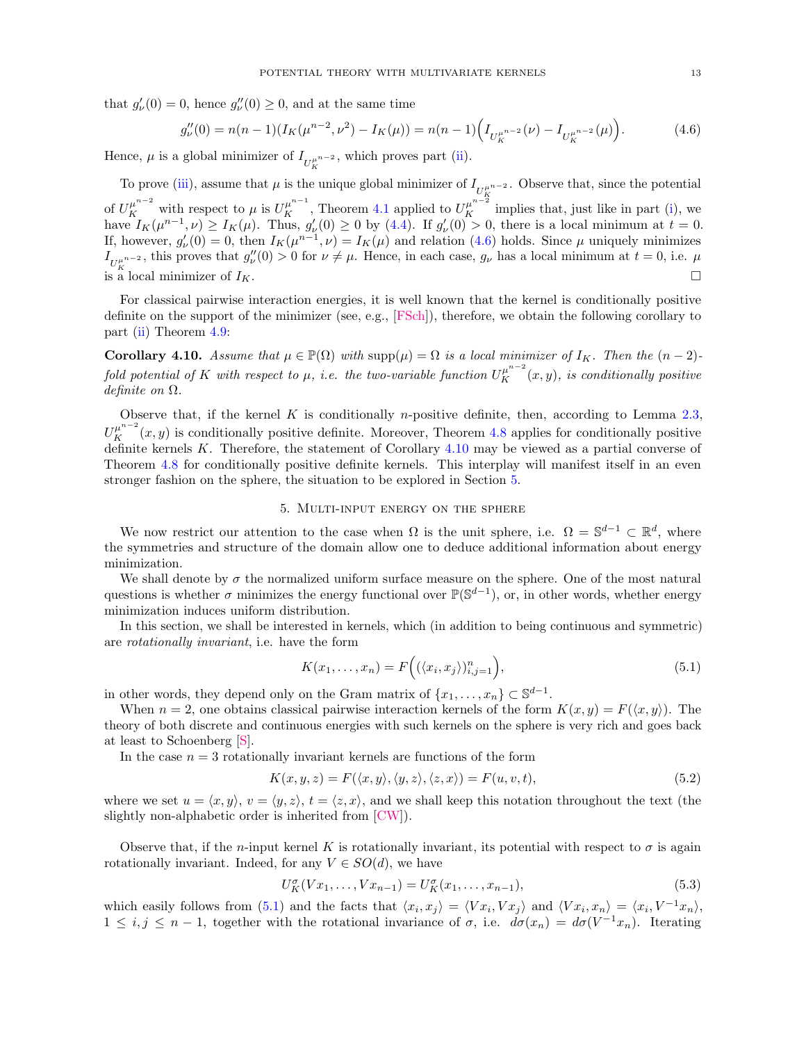that  $g'_{\nu}(0) = 0$ , hence  $g''_{\nu}(0) \ge 0$ , and at the same time

<span id="page-12-1"></span>
$$
g_{\nu}''(0) = n(n-1)(I_K(\mu^{n-2}, \nu^2) - I_K(\mu)) = n(n-1)\Big(I_{U_K^{\mu^{n-2}}}(\nu) - I_{U_K^{\mu^{n-2}}}(\mu)\Big). \tag{4.6}
$$

Hence,  $\mu$  is a global minimizer of  $I_{U_K^{\mu^{n-2}}}$ , which proves part [\(ii\)](#page-11-3).

To prove [\(iii\)](#page-11-4), assume that  $\mu$  is the unique global minimizer of  $I_{U_K^{\mu^{n-2}}}$ . Observe that, since the potential of  $U_K^{\mu^{n-2}}$  with respect to  $\mu$  is  $U_K^{\mu^{n-1}}$ , Theorem [4.1](#page-9-1) applied to  $U_K^{\mu^{n-2}}$  implies that, just like in part [\(i\)](#page-11-2), we have  $I_K(\mu^{n-1}, \nu) \ge I_K(\mu)$ . Thus,  $g'_\nu(0) \ge 0$  by [\(4.4\)](#page-11-5). If  $g'_\nu(0) > 0$ , there is a local minimum at  $t = 0$ . If, however,  $g'_\nu(0) = 0$ , then  $I_K(\mu^{n-1}, \nu) = I_K(\mu)$  and relation [\(4.6\)](#page-12-1) holds. Since  $\mu$  uniquely minimizes  $I_{U_K^{\mu^{n-2}}}$ , this proves that  $g''_v(0) > 0$  for  $\nu \neq \mu$ . Hence, in each case,  $g_{\nu}$  has a local minimum at  $t = 0$ , i.e.  $\mu$ is a local minimizer of  $I_K$ .

For classical pairwise interaction energies, it is well known that the kernel is conditionally positive definite on the support of the minimizer (see, e.g., [\[FSch\]](#page-21-20)), therefore, we obtain the following corollary to part [\(ii\)](#page-11-3) Theorem [4.9:](#page-11-1)

<span id="page-12-2"></span>**Corollary 4.10.** Assume that  $\mu \in \mathbb{P}(\Omega)$  with  $\text{supp}(\mu) = \Omega$  is a local minimizer of  $I_K$ . Then the  $(n-2)$ fold potential of K with respect to  $\mu$ , i.e. the two-variable function  $U_K^{\mu^{n-2}}(x,y)$ , is conditionally positive definite on  $\Omega$ .

Observe that, if the kernel  $K$  is conditionally *n*-positive definite, then, according to Lemma [2.3,](#page-4-0)  $U_K^{\mu^{n-2}}(x, y)$  is conditionally positive definite. Moreover, Theorem [4.8](#page-11-0) applies for conditionally positive definite kernels  $K$ . Therefore, the statement of Corollary  $4.10$  may be viewed as a partial converse of Theorem [4.8](#page-11-0) for conditionally positive definite kernels. This interplay will manifest itself in an even stronger fashion on the sphere, the situation to be explored in Section [5.](#page-12-0)

## 5. Multi-input energy on the sphere

<span id="page-12-0"></span>We now restrict our attention to the case when  $\Omega$  is the unit sphere, i.e.  $\Omega = \mathbb{S}^{d-1} \subset \mathbb{R}^d$ , where the symmetries and structure of the domain allow one to deduce additional information about energy minimization.

We shall denote by  $\sigma$  the normalized uniform surface measure on the sphere. One of the most natural questions is whether  $\sigma$  minimizes the energy functional over  $\mathbb{P}(\mathbb{S}^{d-1})$ , or, in other words, whether energy minimization induces uniform distribution.

In this section, we shall be interested in kernels, which (in addition to being continuous and symmetric) are rotationally invariant, i.e. have the form

<span id="page-12-3"></span>
$$
K(x_1, ..., x_n) = F\Big( (\langle x_i, x_j \rangle)_{i,j=1}^n \Big), \tag{5.1}
$$

in other words, they depend only on the Gram matrix of  $\{x_1, \ldots, x_n\} \subset \mathbb{S}^{d-1}$ .

When  $n = 2$ , one obtains classical pairwise interaction kernels of the form  $K(x, y) = F(\langle x, y \rangle)$ . The theory of both discrete and continuous energies with such kernels on the sphere is very rich and goes back at least to Schoenberg [\[S\]](#page-22-8).

In the case  $n = 3$  rotationally invariant kernels are functions of the form

<span id="page-12-4"></span>
$$
K(x, y, z) = F(\langle x, y \rangle, \langle y, z \rangle, \langle z, x \rangle) = F(u, v, t), \tag{5.2}
$$

where we set  $u = \langle x, y \rangle$ ,  $v = \langle y, z \rangle$ ,  $t = \langle z, x \rangle$ , and we shall keep this notation throughout the text (the slightly non-alphabetic order is inherited from [\[CW\]](#page-21-13)).

Observe that, if the n-input kernel K is rotationally invariant, its potential with respect to  $\sigma$  is again rotationally invariant. Indeed, for any  $V \in SO(d)$ , we have

$$
U_K^{\sigma}(Vx_1, \dots, Vx_{n-1}) = U_K^{\sigma}(x_1, \dots, x_{n-1}),
$$
\n(5.3)

which easily follows from [\(5.1\)](#page-12-3) and the facts that  $\langle x_i, x_j \rangle = \langle V x_i, V x_j \rangle$  and  $\langle V x_i, x_n \rangle = \langle x_i, V^{-1} x_n \rangle$ ,  $1 \leq i, j \leq n-1$ , together with the rotational invariance of  $\sigma$ , i.e.  $d\sigma(x_n) = d\sigma(V^{-1}x_n)$ . Iterating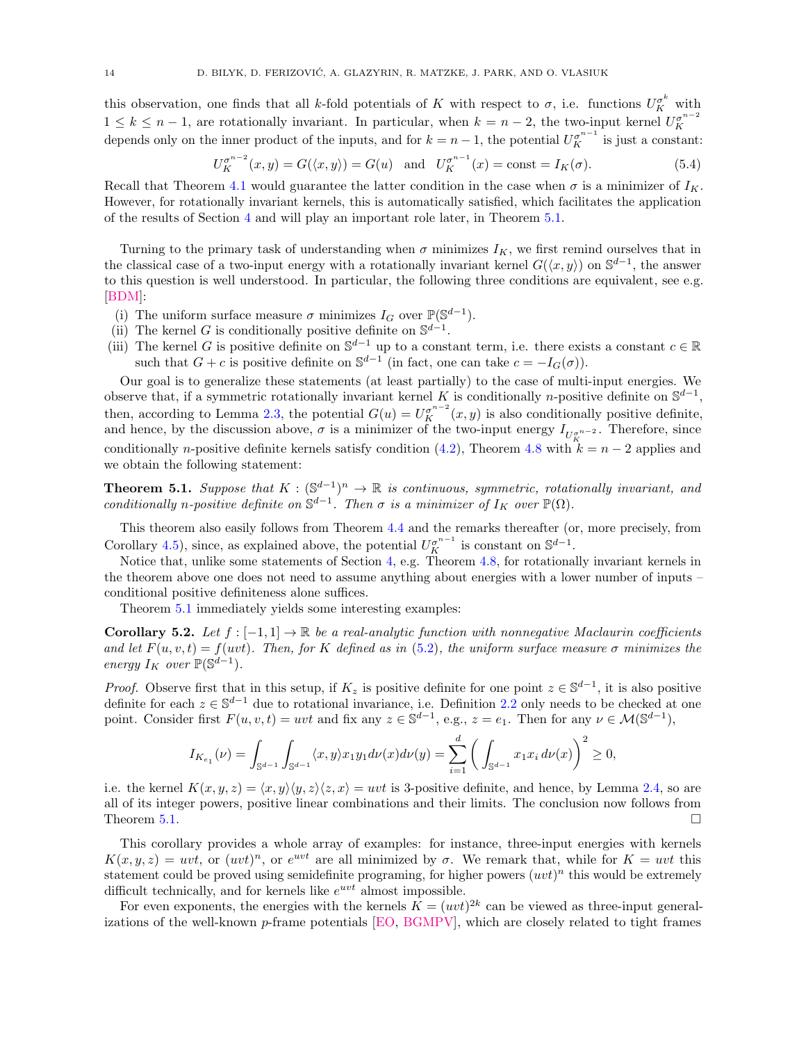this observation, one finds that all k-fold potentials of K with respect to  $\sigma$ , i.e. functions  $U_K^{\sigma^k}$  with  $1 \leq k \leq n-1$ , are rotationally invariant. In particular, when  $k = n-2$ , the two-input kernel  $U_K^{\sigma^{n-2}}$ depends only on the inner product of the inputs, and for  $k = n - 1$ , the potential  $U_K^{\sigma^{n-1}}$  is just a constant:

<span id="page-13-2"></span>
$$
U_K^{\sigma^{n-2}}(x, y) = G(\langle x, y \rangle) = G(u) \text{ and } U_K^{\sigma^{n-1}}(x) = \text{const} = I_K(\sigma). \tag{5.4}
$$

Recall that Theorem [4.1](#page-9-1) would guarantee the latter condition in the case when  $\sigma$  is a minimizer of  $I_K$ . However, for rotationally invariant kernels, this is automatically satisfied, which facilitates the application of the results of Section [4](#page-9-0) and will play an important role later, in Theorem [5.1.](#page-13-0)

Turning to the primary task of understanding when  $\sigma$  minimizes  $I_K$ , we first remind ourselves that in the classical case of a two-input energy with a rotationally invariant kernel  $G(\langle x, y \rangle)$  on  $\mathbb{S}^{d-1}$ , the answer to this question is well understood. In particular, the following three conditions are equivalent, see e.g. [\[BDM\]](#page-21-17):

- (i) The uniform surface measure  $\sigma$  minimizes  $I_G$  over  $\mathbb{P}(\mathbb{S}^{d-1})$ .
- (ii) The kernel G is conditionally positive definite on  $\mathbb{S}^{d-1}$ .
- (iii) The kernel G is positive definite on  $\mathbb{S}^{d-1}$  up to a constant term, i.e. there exists a constant  $c \in \mathbb{R}$ such that  $G + c$  is positive definite on  $\mathbb{S}^{d-1}$  (in fact, one can take  $c = -I_G(\sigma)$ ).

Our goal is to generalize these statements (at least partially) to the case of multi-input energies. We observe that, if a symmetric rotationally invariant kernel K is conditionally n-positive definite on  $\mathbb{S}^{d-1}$ , then, according to Lemma [2.3,](#page-4-0) the potential  $G(u) = U_K^{\sigma^{n-2}}(x, y)$  is also conditionally positive definite, and hence, by the discussion above,  $\sigma$  is a minimizer of the two-input energy  $I_{U_K^{\sigma^{n-2}}}$ . Therefore, since conditionally n-positive definite kernels satisfy condition [\(4.2\)](#page-10-3), Theorem [4.8](#page-11-0) with  $k = n - 2$  applies and we obtain the following statement:

<span id="page-13-0"></span>**Theorem 5.1.** Suppose that  $K : (\mathbb{S}^{d-1})^n \to \mathbb{R}$  is continuous, symmetric, rotationally invariant, and conditionally n-positive definite on  $\mathbb{S}^{d-1}$ . Then  $\sigma$  is a minimizer of  $I_K$  over  $\mathbb{P}(\Omega)$ .

This theorem also easily follows from Theorem [4.4](#page-10-0) and the remarks thereafter (or, more precisely, from Corollary [4.5\)](#page-10-2), since, as explained above, the potential  $U_K^{\sigma^{n-1}}$  is constant on  $\mathbb{S}^{d-1}$ .

Notice that, unlike some statements of Section [4,](#page-9-0) e.g. Theorem [4.8,](#page-11-0) for rotationally invariant kernels in the theorem above one does not need to assume anything about energies with a lower number of inputs – conditional positive definiteness alone suffices.

Theorem [5.1](#page-13-0) immediately yields some interesting examples:

<span id="page-13-1"></span>Corollary 5.2. Let  $f : [-1,1] \to \mathbb{R}$  be a real-analytic function with nonnegative Maclaurin coefficients and let  $F(u, v, t) = f(uvt)$ . Then, for K defined as in [\(5.2\)](#page-12-4), the uniform surface measure  $\sigma$  minimizes the energy  $I_K$  over  $\mathbb{P}(\mathbb{S}^{d-1})$ .

*Proof.* Observe first that in this setup, if  $K_z$  is positive definite for one point  $z \in \mathbb{S}^{d-1}$ , it is also positive definite for each  $z \in \mathbb{S}^{d-1}$  due to rotational invariance, i.e. Definition [2.2](#page-4-1) only needs to be checked at one point. Consider first  $F(u, v, t) = uvt$  and fix any  $z \in \mathbb{S}^{d-1}$ , e.g.,  $z = e_1$ . Then for any  $\nu \in \mathcal{M}(\mathbb{S}^{d-1})$ ,

$$
I_{K_{e_1}}(\nu) = \int_{\mathbb{S}^{d-1}} \int_{\mathbb{S}^{d-1}} \langle x, y \rangle x_1 y_1 d\nu(x) d\nu(y) = \sum_{i=1}^d \left( \int_{\mathbb{S}^{d-1}} x_1 x_i d\nu(x) \right)^2 \ge 0,
$$

i.e. the kernel  $K(x, y, z) = \langle x, y \rangle \langle y, z \rangle \langle z, x \rangle = uvt$  is 3-positive definite, and hence, by Lemma [2.4,](#page-4-2) so are all of its integer powers, positive linear combinations and their limits. The conclusion now follows from Theorem [5.1.](#page-13-0)

This corollary provides a whole array of examples: for instance, three-input energies with kernels  $K(x, y, z) = uvt$ , or  $(uvt)^n$ , or  $e^{uvt}$  are all minimized by  $\sigma$ . We remark that, while for  $K = uvt$  this statement could be proved using semidefinite programing, for higher powers  $(uvt)^n$  this would be extremely difficult technically, and for kernels like  $e^{uvt}$  almost impossible.

For even exponents, the energies with the kernels  $K = (wt)^{2k}$  can be viewed as three-input generalizations of the well-known p-frame potentials [\[EO,](#page-21-21) [BGMPV\]](#page-21-22), which are closely related to tight frames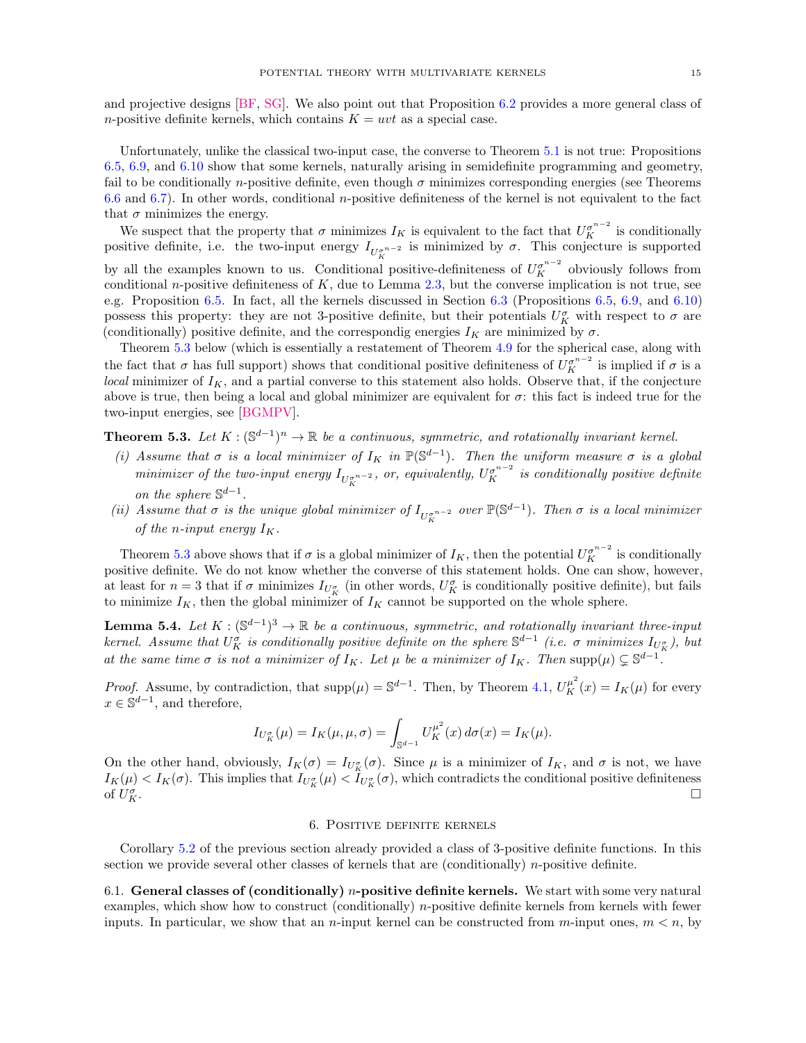and projective designs [\[BF,](#page-21-23) [SG\]](#page-22-9). We also point out that Proposition [6.2](#page-15-0) provides a more general class of n-positive definite kernels, which contains  $K = uvt$  as a special case.

Unfortunately, unlike the classical two-input case, the converse to Theorem [5.1](#page-13-0) is not true: Propositions [6.5,](#page-17-1) [6.9,](#page-20-0) and [6.10](#page-20-1) show that some kernels, naturally arising in semidefinite programming and geometry, fail to be conditionally n-positive definite, even though  $\sigma$  minimizes corresponding energies (see Theorems [6.6](#page-19-0) and [6.7\)](#page-19-1). In other words, conditional n-positive definiteness of the kernel is not equivalent to the fact that  $\sigma$  minimizes the energy.

We suspect that the property that  $\sigma$  minimizes  $I_K$  is equivalent to the fact that  $U_K^{\sigma^{n-2}}$  is conditionally positive definite, i.e. the two-input energy  $I_{U_K^{\sigma^{n-2}}}$  is minimized by  $\sigma$ . This conjecture is supported by all the examples known to us. Conditional positive-definiteness of  $U_K^{\sigma^{n-2}}$  obviously follows from conditional n-positive definiteness of  $K$ , due to Lemma [2.3,](#page-4-0) but the converse implication is not true, see e.g. Proposition [6.5.](#page-17-1) In fact, all the kernels discussed in Section [6.3](#page-17-0) (Propositions [6.5,](#page-17-1) [6.9,](#page-20-0) and [6.10\)](#page-20-1) possess this property: they are not 3-positive definite, but their potentials  $U_K^{\sigma}$  with respect to  $\sigma$  are (conditionally) positive definite, and the correspondig energies  $I_K$  are minimized by  $\sigma$ .

Theorem [5.3](#page-14-2) below (which is essentially a restatement of Theorem [4.9](#page-11-1) for the spherical case, along with the fact that  $\sigma$  has full support) shows that conditional positive definiteness of  $U_K^{\sigma^{n-2}}$  is implied if  $\sigma$  is a local minimizer of  $I_K$ , and a partial converse to this statement also holds. Observe that, if the conjecture above is true, then being a local and global minimizer are equivalent for  $\sigma$ : this fact is indeed true for the two-input energies, see [\[BGMPV\]](#page-21-22).

<span id="page-14-2"></span>**Theorem 5.3.** Let  $K : (\mathbb{S}^{d-1})^n \to \mathbb{R}$  be a continuous, symmetric, and rotationally invariant kernel.

- (i) Assume that  $\sigma$  is a local minimizer of  $I_K$  in  $\mathbb{P}(\mathbb{S}^{d-1})$ . Then the uniform measure  $\sigma$  is a global minimizer of the two-input energy  $I_{U_K^{ \sigma^{n-2} }}$ , or, equivalently,  $U_K^{ \sigma^{n-2} }$  is conditionally positive definite on the sphere  $\mathbb{S}^{d-1}$ .
- (ii) Assume that  $\sigma$  is the unique global minimizer of  $I_{U_K^{\sigma^{n-2}}}$  over  $\mathbb{P}(\mathbb{S}^{d-1})$ . Then  $\sigma$  is a local minimizer of the n-input energy  $I_K$ .

Theorem [5.3](#page-14-2) above shows that if  $\sigma$  is a global minimizer of  $I_K$ , then the potential  $U_K^{\sigma^{n-2}}$  is conditionally positive definite. We do not know whether the converse of this statement holds. One can show, however, at least for  $n=3$  that if  $\sigma$  minimizes  $I_{U_K^{\sigma}}$  (in other words,  $U_K^{\sigma}$  is conditionally positive definite), but fails to minimize  $I_K$ , then the global minimizer of  $I_K$  cannot be supported on the whole sphere.

**Lemma 5.4.** Let  $K : (\mathbb{S}^{d-1})^3 \to \mathbb{R}$  be a continuous, symmetric, and rotationally invariant three-input kernel. Assume that  $U_K^{\sigma}$  is conditionally positive definite on the sphere  $\mathbb{S}^{d-1}$  (i.e.  $\sigma$  minimizes  $I_{U_K^{\sigma}}$ ), but at the same time  $\sigma$  is not a minimizer of  $I_K$ . Let  $\mu$  be a minimizer of  $I_K$ . Then supp $(\mu) \subsetneq \mathbb{S}^{d-1}$ .

*Proof.* Assume, by contradiction, that  $\text{supp}(\mu) = \mathbb{S}^{d-1}$ . Then, by Theorem [4.1,](#page-9-1)  $U_K^{\mu^2}(x) = I_K(\mu)$  for every  $x \in \mathbb{S}^{d-1}$ , and therefore,

$$
I_{U_K^{\sigma}}(\mu) = I_K(\mu, \mu, \sigma) = \int_{\mathbb{S}^{d-1}} U_K^{\mu^2}(x) d\sigma(x) = I_K(\mu).
$$

On the other hand, obviously,  $I_K(\sigma) = I_{U_K^{\sigma}}(\sigma)$ . Since  $\mu$  is a minimizer of  $I_K$ , and  $\sigma$  is not, we have  $I_K(\mu) < I_K(\sigma)$ . This implies that  $I_{U_K^{\sigma}}(\mu) < I_{U_K^{\sigma}}(\sigma)$ , which contradicts the conditional positive definiteness of  $U_K^{\sigma}$  $K$ .

# 6. Positive definite kernels

<span id="page-14-0"></span>Corollary [5.2](#page-13-1) of the previous section already provided a class of 3-positive definite functions. In this section we provide several other classes of kernels that are (conditionally) n-positive definite.

<span id="page-14-1"></span>6.1. General classes of (conditionally) *n*-positive definite kernels. We start with some very natural examples, which show how to construct (conditionally) n-positive definite kernels from kernels with fewer inputs. In particular, we show that an *n*-input kernel can be constructed from *m*-input ones,  $m < n$ , by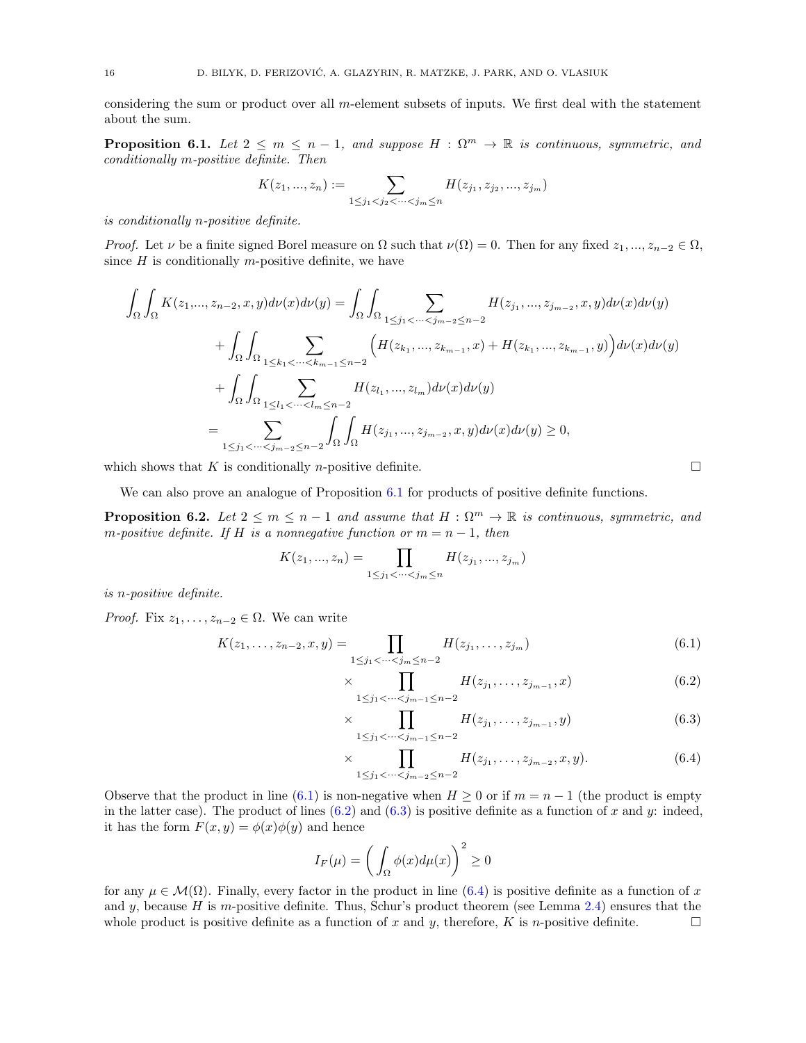considering the sum or product over all m-element subsets of inputs. We first deal with the statement about the sum.

<span id="page-15-1"></span>**Proposition 6.1.** Let  $2 \leq m \leq n-1$ , and suppose  $H : \Omega^m \to \mathbb{R}$  is continuous, symmetric, and conditionally m-positive definite. Then

$$
K(z_1, ..., z_n) := \sum_{1 \le j_1 < j_2 < \dots < j_m \le n} H(z_{j_1}, z_{j_2}, ..., z_{j_m})
$$

is conditionally n-positive definite.

*Proof.* Let  $\nu$  be a finite signed Borel measure on  $\Omega$  such that  $\nu(\Omega) = 0$ . Then for any fixed  $z_1, ..., z_{n-2} \in \Omega$ , since  $H$  is conditionally m-positive definite, we have

$$
\int_{\Omega} \int_{\Omega} K(z_1, ..., z_{n-2}, x, y) d\nu(x) d\nu(y) = \int_{\Omega} \int_{\Omega} \sum_{1 \le j_1 < \dots < j_{m-2} \le n-2} H(z_{j_1}, ..., z_{j_{m-2}}, x, y) d\nu(x) d\nu(y)
$$
\n
$$
+ \int_{\Omega} \int_{\Omega} \sum_{1 \le k_1 < \dots < k_{m-1} \le n-2} \left( H(z_{k_1}, ..., z_{k_{m-1}}, x) + H(z_{k_1}, ..., z_{k_{m-1}}, y) \right) d\nu(x) d\nu(y)
$$
\n
$$
+ \int_{\Omega} \int_{\Omega} \sum_{1 \le l_1 < \dots < l_m \le n-2} H(z_{l_1}, ..., z_{l_m}) d\nu(x) d\nu(y)
$$
\n
$$
= \sum_{1 \le j_1 < \dots < j_{m-2} \le n-2} \int_{\Omega} \int_{\Omega} H(z_{j_1}, ..., z_{j_{m-2}}, x, y) d\nu(x) d\nu(y) \ge 0,
$$

which shows that K is conditionally *n*-positive definite.  $\Box$ 

We can also prove an analogue of Proposition [6.1](#page-15-1) for products of positive definite functions.

<span id="page-15-0"></span>**Proposition 6.2.** Let  $2 \leq m \leq n-1$  and assume that  $H : \Omega^m \to \mathbb{R}$  is continuous, symmetric, and m-positive definite. If H is a nonnegative function or  $m = n - 1$ , then

$$
K(z_1, ..., z_n) = \prod_{1 \le j_1 < ... < j_m \le n} H(z_{j_1}, ..., z_{j_m})
$$

is n-positive definite.

*Proof.* Fix  $z_1, \ldots, z_{n-2} \in \Omega$ . We can write

$$
K(z_1, \ldots, z_{n-2}, x, y) = \prod_{1 \le j_1 < \cdots < j_m \le n-2} H(z_{j_1}, \ldots, z_{j_m}) \tag{6.1}
$$

$$
\times \prod_{1 \le j_1 < \dots < j_{m-1} \le n-2} H(z_{j_1}, \dots, z_{j_{m-1}}, x) \tag{6.2}
$$

$$
\times \prod_{1 \le j_1 < \dots < j_{m-1} \le n-2} H(z_{j_1}, \dots, z_{j_{m-1}}, y) \tag{6.3}
$$

$$
\times \prod_{1 \le j_1 < \dots < j_{m-2} \le n-2} H(z_{j_1}, \dots, z_{j_{m-2}}, x, y). \tag{6.4}
$$

Observe that the product in line [\(6.1\)](#page-15-2) is non-negative when  $H \ge 0$  or if  $m = n - 1$  (the product is empty in the latter case). The product of lines  $(6.2)$  and  $(6.3)$  is positive definite as a function of x and y: indeed, it has the form  $F(x, y) = \phi(x)\phi(y)$  and hence

$$
I_F(\mu) = \left(\int_{\Omega} \phi(x) d\mu(x)\right)^2 \ge 0
$$

for any  $\mu \in \mathcal{M}(\Omega)$ . Finally, every factor in the product in line [\(6.4\)](#page-15-5) is positive definite as a function of x and y, because H is m-positive definite. Thus, Schur's product theorem (see Lemma  $2.4$ ) ensures that the whole product is positive definite as a function of x and y, therefore, K is n-positive definite.

<span id="page-15-5"></span><span id="page-15-4"></span><span id="page-15-3"></span><span id="page-15-2"></span>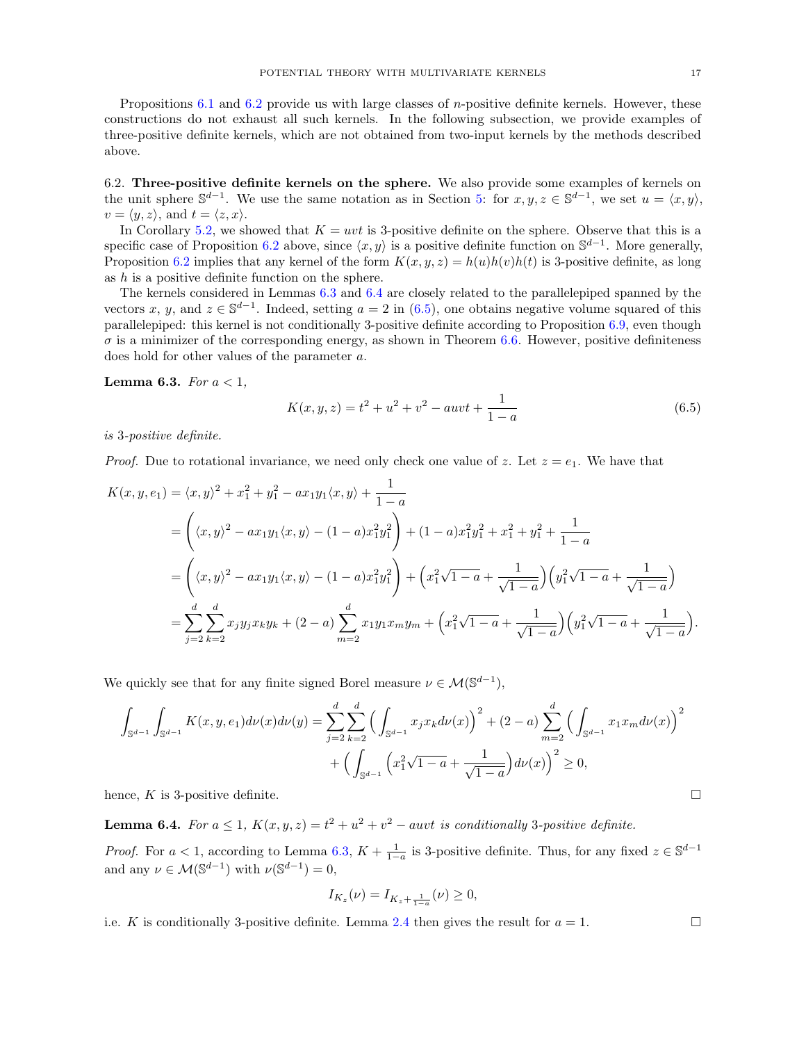Propositions [6.1](#page-15-1) and [6.2](#page-15-0) provide us with large classes of *n*-positive definite kernels. However, these constructions do not exhaust all such kernels. In the following subsection, we provide examples of three-positive definite kernels, which are not obtained from two-input kernels by the methods described above.

<span id="page-16-0"></span>6.2. Three-positive definite kernels on the sphere. We also provide some examples of kernels on the unit sphere  $\mathbb{S}^{d-1}$ . We use the same notation as in Section [5:](#page-12-0) for  $x, y, z \in \mathbb{S}^{d-1}$ , we set  $u = \langle x, y \rangle$ ,  $v = \langle y, z \rangle$ , and  $t = \langle z, x \rangle$ .

In Corollary [5.2,](#page-13-1) we showed that  $K = uvt$  is 3-positive definite on the sphere. Observe that this is a specific case of Proposition [6.2](#page-15-0) above, since  $\langle x, y \rangle$  is a positive definite function on S<sup>d-1</sup>. More generally, Proposition [6.2](#page-15-0) implies that any kernel of the form  $K(x, y, z) = h(u)h(v)h(t)$  is 3-positive definite, as long as  $h$  is a positive definite function on the sphere.

The kernels considered in Lemmas [6.3](#page-16-1) and [6.4](#page-16-2) are closely related to the parallelepiped spanned by the vectors x, y, and  $z \in \mathbb{S}^{d-1}$ . Indeed, setting  $a = 2$  in [\(6.5\)](#page-16-3), one obtains negative volume squared of this parallelepiped: this kernel is not conditionally 3-positive definite according to Proposition [6.9,](#page-20-0) even though  $\sigma$  is a minimizer of the corresponding energy, as shown in Theorem [6.6.](#page-19-0) However, positive definiteness does hold for other values of the parameter a.

<span id="page-16-1"></span>**Lemma 6.3.** For  $a < 1$ ,

<span id="page-16-3"></span>
$$
K(x, y, z) = t2 + u2 + v2 - auvt + \frac{1}{1 - a}
$$
 (6.5)

is 3-positive definite.

*Proof.* Due to rotational invariance, we need only check one value of z. Let  $z = e_1$ . We have that

$$
K(x, y, e_1) = \langle x, y \rangle^2 + x_1^2 + y_1^2 - ax_1y_1 \langle x, y \rangle + \frac{1}{1 - a}
$$
  
=  $\left( \langle x, y \rangle^2 - ax_1y_1 \langle x, y \rangle - (1 - a)x_1^2y_1^2 \right) + (1 - a)x_1^2y_1^2 + x_1^2 + y_1^2 + \frac{1}{1 - a}$   
=  $\left( \langle x, y \rangle^2 - ax_1y_1 \langle x, y \rangle - (1 - a)x_1^2y_1^2 \right) + \left( x_1^2\sqrt{1 - a} + \frac{1}{\sqrt{1 - a}} \right) \left( y_1^2\sqrt{1 - a} + \frac{1}{\sqrt{1 - a}} \right)$   
=  $\sum_{j=2}^d \sum_{k=2}^d x_j y_j x_k y_k + (2 - a) \sum_{m=2}^d x_1 y_1 x_m y_m + \left( x_1^2\sqrt{1 - a} + \frac{1}{\sqrt{1 - a}} \right) \left( y_1^2\sqrt{1 - a} + \frac{1}{\sqrt{1 - a}} \right).$ 

We quickly see that for any finite signed Borel measure  $\nu \in \mathcal{M}(\mathbb{S}^{d-1}),$ 

$$
\int_{\mathbb{S}^{d-1}} \int_{\mathbb{S}^{d-1}} K(x, y, e_1) d\nu(x) d\nu(y) = \sum_{j=2}^d \sum_{k=2}^d \left( \int_{\mathbb{S}^{d-1}} x_j x_k d\nu(x) \right)^2 + (2 - a) \sum_{m=2}^d \left( \int_{\mathbb{S}^{d-1}} x_1 x_m d\nu(x) \right)^2 + \left( \int_{\mathbb{S}^{d-1}} \left( x_1^2 \sqrt{1 - a} + \frac{1}{\sqrt{1 - a}} \right) d\nu(x) \right)^2 \ge 0,
$$

hence, K is 3-positive definite.

<span id="page-16-2"></span>**Lemma 6.4.** For  $a \leq 1$ ,  $K(x, y, z) = t^2 + u^2 + v^2 - a u v t$  is conditionally 3-positive definite.

*Proof.* For  $a < 1$ , according to Lemma [6.3,](#page-16-1)  $K + \frac{1}{1-a}$  is 3-positive definite. Thus, for any fixed  $z \in \mathbb{S}^{d-1}$ and any  $\nu \in \mathcal{M}(\mathbb{S}^{d-1})$  with  $\nu(\mathbb{S}^{d-1}) = 0$ ,

$$
I_{K_z}(\nu) = I_{K_z + \frac{1}{1-a}}(\nu) \ge 0,
$$

i.e. K is conditionally 3-positive definite. Lemma [2.4](#page-4-2) then gives the result for  $a = 1$ .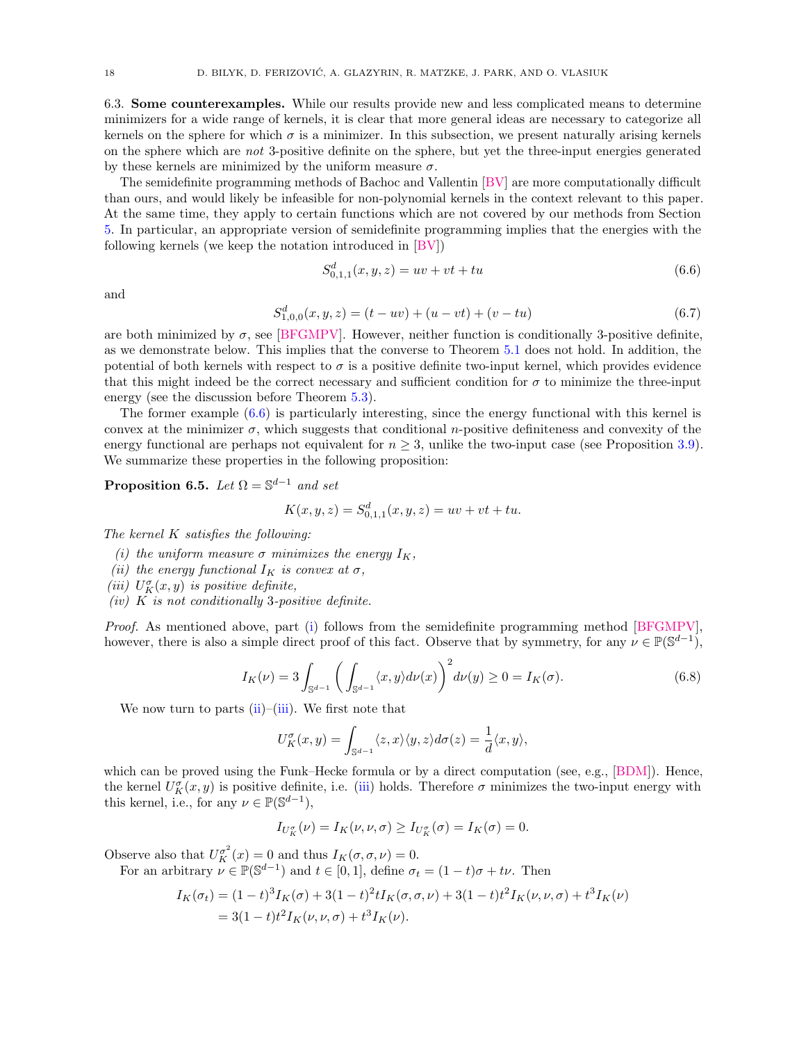<span id="page-17-0"></span>6.3. Some counterexamples. While our results provide new and less complicated means to determine minimizers for a wide range of kernels, it is clear that more general ideas are necessary to categorize all kernels on the sphere for which  $\sigma$  is a minimizer. In this subsection, we present naturally arising kernels on the sphere which are not 3-positive definite on the sphere, but yet the three-input energies generated by these kernels are minimized by the uniform measure  $\sigma$ .

The semidefinite programming methods of Bachoc and Vallentin [\[BV\]](#page-21-16) are more computationally difficult than ours, and would likely be infeasible for non-polynomial kernels in the context relevant to this paper. At the same time, they apply to certain functions which are not covered by our methods from Section [5.](#page-12-0) In particular, an appropriate version of semidefinite programming implies that the energies with the following kernels (we keep the notation introduced in [\[BV\]](#page-21-16))

<span id="page-17-2"></span>
$$
S_{0,1,1}^d(x,y,z) = uv + vt + tu \tag{6.6}
$$

and

<span id="page-17-8"></span>
$$
S_{1,0,0}^d(x,y,z) = (t - uv) + (u - vt) + (v - tu)
$$
\n(6.7)

are both minimized by  $\sigma$ , see [\[BFGMPV\]](#page-21-12). However, neither function is conditionally 3-positive definite, as we demonstrate below. This implies that the converse to Theorem [5.1](#page-13-0) does not hold. In addition, the potential of both kernels with respect to  $\sigma$  is a positive definite two-input kernel, which provides evidence that this might indeed be the correct necessary and sufficient condition for  $\sigma$  to minimize the three-input energy (see the discussion before Theorem [5.3\)](#page-14-2).

The former example [\(6.6\)](#page-17-2) is particularly interesting, since the energy functional with this kernel is convex at the minimizer  $\sigma$ , which suggests that conditional *n*-positive definiteness and convexity of the energy functional are perhaps not equivalent for  $n \geq 3$ , unlike the two-input case (see Proposition [3.9\)](#page-8-0). We summarize these properties in the following proposition:

<span id="page-17-1"></span>**Proposition 6.5.** Let  $\Omega = \mathbb{S}^{d-1}$  and set

$$
K(x, y, z) = S_{0,1,1}^d(x, y, z) = uv + vt + tu.
$$

The kernel  $K$  satisfies the following:

- <span id="page-17-3"></span>(i) the uniform measure  $\sigma$  minimizes the energy  $I_K$ ,
- <span id="page-17-4"></span>(ii) the energy functional  $I_K$  is convex at  $\sigma$ ,
- <span id="page-17-5"></span>(iii)  $U_K^{\sigma}(x, y)$  is positive definite,
- <span id="page-17-7"></span> $(iv)$  K is not conditionally 3-positive definite.

Proof. As mentioned above, part [\(i\)](#page-17-3) follows from the semidefinite programming method [\[BFGMPV\]](#page-21-12), however, there is also a simple direct proof of this fact. Observe that by symmetry, for any  $\nu \in \mathbb{P}(\mathbb{S}^{d-1})$ ,

<span id="page-17-6"></span>
$$
I_K(\nu) = 3 \int_{\mathbb{S}^{d-1}} \left( \int_{\mathbb{S}^{d-1}} \langle x, y \rangle d\nu(x) \right)^2 d\nu(y) \ge 0 = I_K(\sigma). \tag{6.8}
$$

We now turn to parts  $(ii)$ – $(iii)$ . We first note that

$$
U_K^{\sigma}(x,y) = \int_{\mathbb{S}^{d-1}} \langle z, x \rangle \langle y, z \rangle d\sigma(z) = \frac{1}{d} \langle x, y \rangle,
$$

which can be proved using the Funk–Hecke formula or by a direct computation (see, e.g., [\[BDM\]](#page-21-17)). Hence, the kernel  $U_K^{\sigma}(x, y)$  is positive definite, i.e. [\(iii\)](#page-17-5) holds. Therefore  $\sigma$  minimizes the two-input energy with this kernel, i.e., for any  $\nu \in \mathbb{P}(\mathbb{S}^{d-1}),$ 

$$
I_{U_K^{\sigma}}(\nu) = I_K(\nu, \nu, \sigma) \ge I_{U_K^{\sigma}}(\sigma) = I_K(\sigma) = 0.
$$

Observe also that  $U_K^{\sigma^2}(x) = 0$  and thus  $I_K(\sigma, \sigma, \nu) = 0$ .

For an arbitrary  $\nu \in \mathbb{P}(\mathbb{S}^{d-1})$  and  $t \in [0,1]$ , define  $\sigma_t = (1-t)\sigma + t\nu$ . Then

$$
I_K(\sigma_t) = (1-t)^3 I_K(\sigma) + 3(1-t)^2 t I_K(\sigma, \sigma, \nu) + 3(1-t)t^2 I_K(\nu, \nu, \sigma) + t^3 I_K(\nu)
$$
  
= 3(1-t)t<sup>2</sup> I\_K(\nu, \nu, \sigma) + t<sup>3</sup>I\_K(\nu).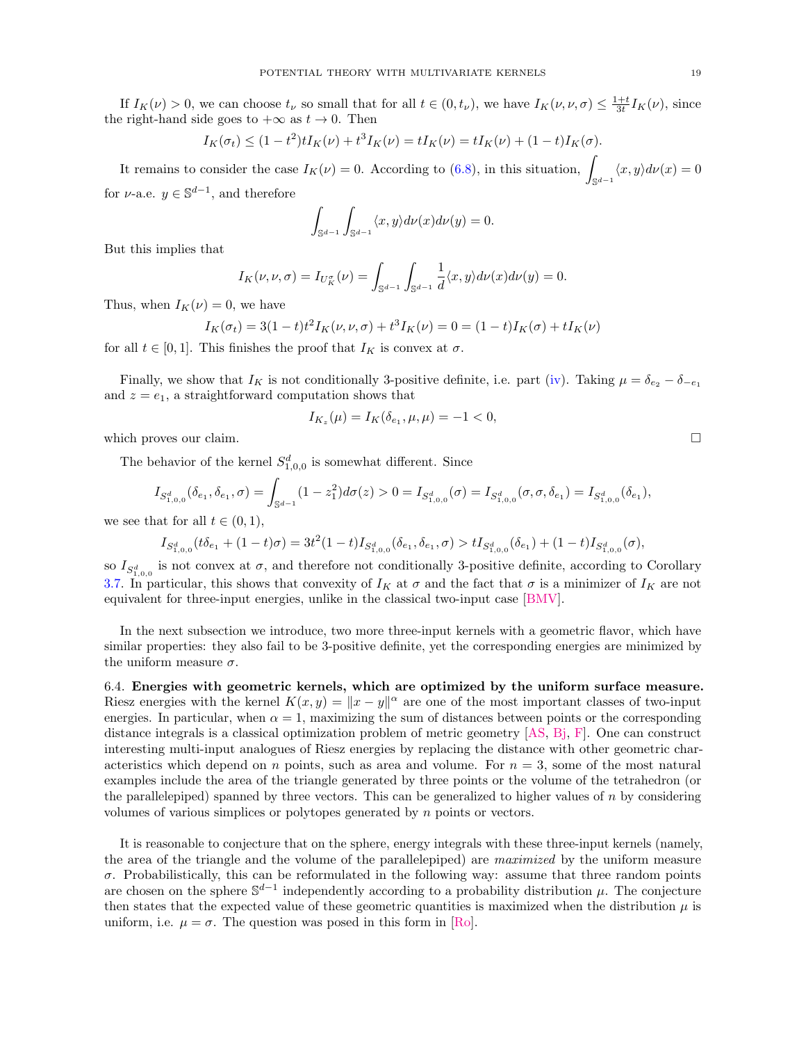If  $I_K(\nu) > 0$ , we can choose  $t_{\nu}$  so small that for all  $t \in (0, t_{\nu})$ , we have  $I_K(\nu, \nu, \sigma) \leq \frac{1+t}{3t} I_K(\nu)$ , since the right-hand side goes to  $+\infty$  as  $t \to 0$ . Then

$$
I_K(\sigma_t) \le (1 - t^2)tI_K(\nu) + t^3I_K(\nu) = tI_K(\nu) = tI_K(\nu) + (1 - t)I_K(\sigma).
$$

It remains to consider the case  $I_K(\nu) = 0$ . According to [\(6.8\)](#page-17-6), in this situation,  $\int_{\mathbb{S}^{d-1}} \langle x, y \rangle d\nu(x) = 0$ for  $\nu$ -a.e.  $y \in \mathbb{S}^{d-1}$ , and therefore

$$
\int_{\mathbb{S}^{d-1}} \int_{\mathbb{S}^{d-1}} \langle x, y \rangle d\nu(x) d\nu(y) = 0.
$$

But this implies that

$$
I_K(\nu,\nu,\sigma) = I_{U_K^{\sigma}}(\nu) = \int_{\mathbb{S}^{d-1}} \int_{\mathbb{S}^{d-1}} \frac{1}{d} \langle x, y \rangle d\nu(x) d\nu(y) = 0.
$$

Thus, when  $I_K(\nu) = 0$ , we have

$$
I_K(\sigma_t) = 3(1-t)t^2 I_K(\nu, \nu, \sigma) + t^3 I_K(\nu) = 0 = (1-t)I_K(\sigma) + t I_K(\nu)
$$

for all  $t \in [0, 1]$ . This finishes the proof that  $I_K$  is convex at  $\sigma$ .

Finally, we show that  $I_K$  is not conditionally 3-positive definite, i.e. part [\(iv\)](#page-17-7). Taking  $\mu = \delta_{e_2} - \delta_{-e_1}$ and  $z = e_1$ , a straightforward computation shows that

$$
I_{K_z}(\mu) = I_K(\delta_{e_1}, \mu, \mu) = -1 < 0,
$$

which proves our claim.  $\Box$ 

The behavior of the kernel  $S_{1,0,0}^d$  is somewhat different. Since

$$
I_{S_{1,0,0}^d}(\delta_{e_1}, \delta_{e_1}, \sigma) = \int_{\mathbb{S}^{d-1}} (1 - z_1^2) d\sigma(z) > 0 = I_{S_{1,0,0}^d}(\sigma) = I_{S_{1,0,0}^d}(\sigma, \sigma, \delta_{e_1}) = I_{S_{1,0,0}^d}(\delta_{e_1}),
$$

we see that for all  $t \in (0,1)$ ,

$$
I_{S^d_{1,0,0}}(t\delta_{e_1}+(1-t)\sigma)=3t^2(1-t)I_{S^d_{1,0,0}}(\delta_{e_1},\delta_{e_1},\sigma)>tI_{S^d_{1,0,0}}(\delta_{e_1})+(1-t)I_{S^d_{1,0,0}}(\sigma),
$$

so  $I_{S_{1,0,0}^d}$  is not convex at  $\sigma$ , and therefore not conditionally 3-positive definite, according to Corollary [3.7.](#page-7-4) In particular, this shows that convexity of  $I_K$  at  $\sigma$  and the fact that  $\sigma$  is a minimizer of  $I_K$  are not equivalent for three-input energies, unlike in the classical two-input case [\[BMV\]](#page-21-19).

In the next subsection we introduce, two more three-input kernels with a geometric flavor, which have similar properties: they also fail to be 3-positive definite, yet the corresponding energies are minimized by the uniform measure  $\sigma$ .

<span id="page-18-0"></span>6.4. Energies with geometric kernels, which are optimized by the uniform surface measure. Riesz energies with the kernel  $K(x, y) = ||x - y||^{\alpha}$  are one of the most important classes of two-input energies. In particular, when  $\alpha = 1$ , maximizing the sum of distances between points or the corresponding distance integrals is a classical optimization problem of metric geometry [\[AS,](#page-21-24) [Bj,](#page-21-1) [F\]](#page-21-25). One can construct interesting multi-input analogues of Riesz energies by replacing the distance with other geometric characteristics which depend on n points, such as area and volume. For  $n = 3$ , some of the most natural examples include the area of the triangle generated by three points or the volume of the tetrahedron (or the parallelepiped) spanned by three vectors. This can be generalized to higher values of  $n$  by considering volumes of various simplices or polytopes generated by n points or vectors.

It is reasonable to conjecture that on the sphere, energy integrals with these three-input kernels (namely, the area of the triangle and the volume of the parallelepiped) are maximized by the uniform measure  $\sigma$ . Probabilistically, this can be reformulated in the following way: assume that three random points are chosen on the sphere  $\mathbb{S}^{d-1}$  independently according to a probability distribution  $\mu$ . The conjecture then states that the expected value of these geometric quantities is maximized when the distribution  $\mu$  is uniform, i.e.  $\mu = \sigma$ . The question was posed in this form in [\[Ro\]](#page-22-10).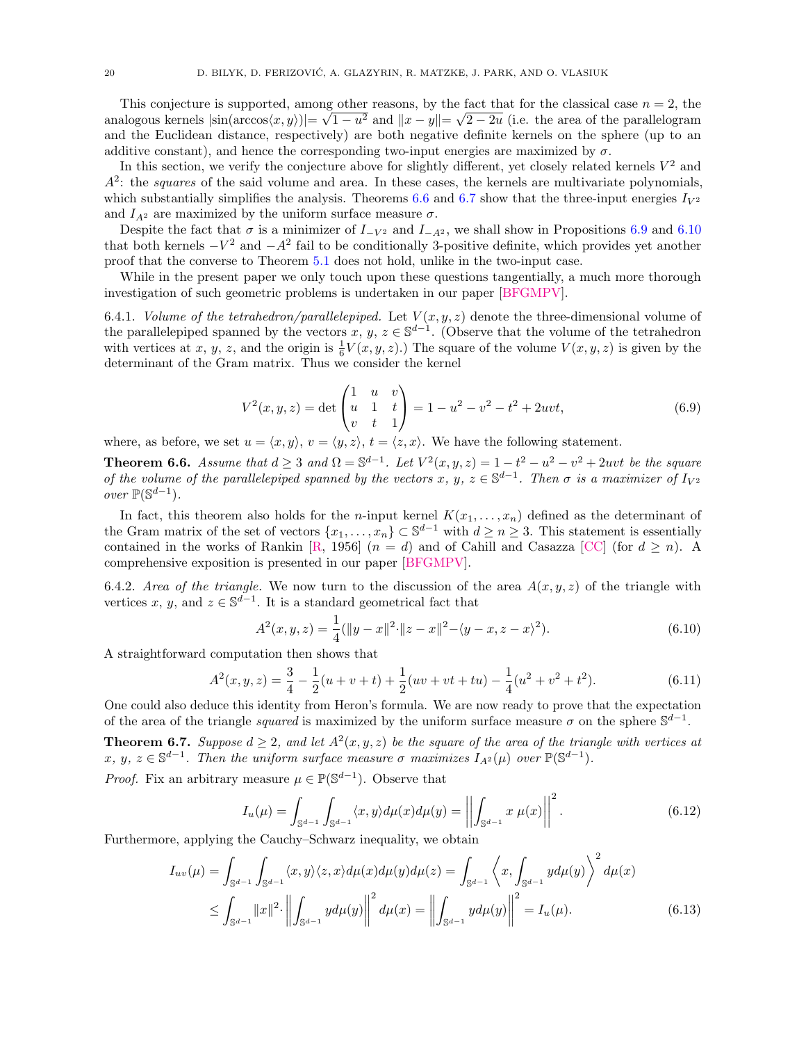This conjecture is supported, among other reasons, by the fact that for the classical case  $n = 2$ , the analogous kernels  $|\sin(\arccos\langle x, y \rangle)| = \sqrt{1 - u^2}$  and  $||x - y|| = \sqrt{2 - 2u}$  (i.e. the area of the parallelogram and the Euclidean distance, respectively) are both negative definite kernels on the sphere (up to an additive constant), and hence the corresponding two-input energies are maximized by  $\sigma$ .

In this section, we verify the conjecture above for slightly different, yet closely related kernels  $V^2$  and  $A<sup>2</sup>$ : the squares of the said volume and area. In these cases, the kernels are multivariate polynomials, which substantially simplifies the analysis. Theorems [6.6](#page-19-0) and [6.7](#page-19-1) show that the three-input energies  $I_{V^2}$ and  $I_{A^2}$  are maximized by the uniform surface measure  $\sigma$ .

Despite the fact that  $\sigma$  is a minimizer of  $I_{-V^2}$  and  $I_{-A^2}$ , we shall show in Propositions [6.9](#page-20-0) and [6.10](#page-20-1) that both kernels  $-V^2$  and  $-A^2$  fail to be conditionally 3-positive definite, which provides yet another proof that the converse to Theorem [5.1](#page-13-0) does not hold, unlike in the two-input case.

While in the present paper we only touch upon these questions tangentially, a much more thorough investigation of such geometric problems is undertaken in our paper [\[BFGMPV\]](#page-21-12).

6.4.1. Volume of the tetrahedron/parallelepiped. Let  $V(x, y, z)$  denote the three-dimensional volume of the parallelepiped spanned by the vectors  $x, y, z \in \mathbb{S}^{d-1}$ . (Observe that the volume of the tetrahedron with vertices at x, y, z, and the origin is  $\frac{1}{6}V(x, y, z)$ .) The square of the volume  $V(x, y, z)$  is given by the determinant of the Gram matrix. Thus we consider the kernel

$$
V^{2}(x, y, z) = \det \begin{pmatrix} 1 & u & v \\ u & 1 & t \\ v & t & 1 \end{pmatrix} = 1 - u^{2} - v^{2} - t^{2} + 2uvt,
$$
 (6.9)

where, as before, we set  $u = \langle x, y \rangle$ ,  $v = \langle y, z \rangle$ ,  $t = \langle z, x \rangle$ . We have the following statement.

<span id="page-19-0"></span>**Theorem 6.6.** Assume that  $d \geq 3$  and  $\Omega = \mathbb{S}^{d-1}$ . Let  $V^2(x, y, z) = 1 - t^2 - u^2 - v^2 + 2uvt$  be the square of the volume of the parallelepiped spanned by the vectors x, y,  $z \in \mathbb{S}^{d-1}$ . Then  $\sigma$  is a maximizer of  $I_{V^2}$ *over*  $\mathbb{P}(\mathbb{S}^{d-1})$ .

In fact, this theorem also holds for the *n*-input kernel  $K(x_1, \ldots, x_n)$  defined as the determinant of the Gram matrix of the set of vectors  $\{x_1, \ldots, x_n\} \subset \mathbb{S}^{d-1}$  with  $d \geq n \geq 3$ . This statement is essentially contained in the works of Rankin [\[R,](#page-21-26) 1956]  $(n = d)$  and of Cahill and Casazza [\[CC\]](#page-21-27) (for  $d \ge n$ ). A comprehensive exposition is presented in our paper [\[BFGMPV\]](#page-21-12).

6.4.2. Area of the triangle. We now turn to the discussion of the area  $A(x, y, z)$  of the triangle with vertices x, y, and  $z \in \mathbb{S}^{d-1}$ . It is a standard geometrical fact that

$$
A^{2}(x, y, z) = \frac{1}{4}(\|y - x\|^{2} \cdot \|z - x\|^{2} - \langle y - x, z - x \rangle^{2}).
$$
\n(6.10)

A straightforward computation then shows that

<span id="page-19-2"></span>
$$
A^{2}(x, y, z) = \frac{3}{4} - \frac{1}{2}(u + v + t) + \frac{1}{2}(uv + vt + tu) - \frac{1}{4}(u^{2} + v^{2} + t^{2}).
$$
\n(6.11)

One could also deduce this identity from Heron's formula. We are now ready to prove that the expectation of the area of the triangle *squared* is maximized by the uniform surface measure  $\sigma$  on the sphere  $\mathbb{S}^{d-1}$ .

<span id="page-19-1"></span>**Theorem 6.7.** Suppose  $d \geq 2$ , and let  $A^2(x, y, z)$  be the square of the area of the triangle with vertices at  $x, y, z \in \mathbb{S}^{d-1}$ . Then the uniform surface measure  $\sigma$  maximizes  $I_{A^2}(\mu)$  over  $\mathbb{P}(\mathbb{S}^{d-1})$ .

*Proof.* Fix an arbitrary measure  $\mu \in \mathbb{P}(\mathbb{S}^{d-1})$ . Observe that

$$
I_u(\mu) = \int_{\mathbb{S}^{d-1}} \int_{\mathbb{S}^{d-1}} \langle x, y \rangle d\mu(x) d\mu(y) = \left| \left| \int_{\mathbb{S}^{d-1}} x \mu(x) \right| \right|^2.
$$
 (6.12)

Furthermore, applying the Cauchy–Schwarz inequality, we obtain

$$
I_{uv}(\mu) = \int_{\mathbb{S}^{d-1}} \int_{\mathbb{S}^{d-1}} \langle x, y \rangle \langle z, x \rangle d\mu(x) d\mu(y) d\mu(z) = \int_{\mathbb{S}^{d-1}} \left\langle x, \int_{\mathbb{S}^{d-1}} y d\mu(y) \right\rangle^2 d\mu(x)
$$
  
 
$$
\leq \int_{\mathbb{S}^{d-1}} ||x||^2 \cdot \left\| \int_{\mathbb{S}^{d-1}} y d\mu(y) \right\|^2 d\mu(x) = \left\| \int_{\mathbb{S}^{d-1}} y d\mu(y) \right\|^2 = I_u(\mu). \tag{6.13}
$$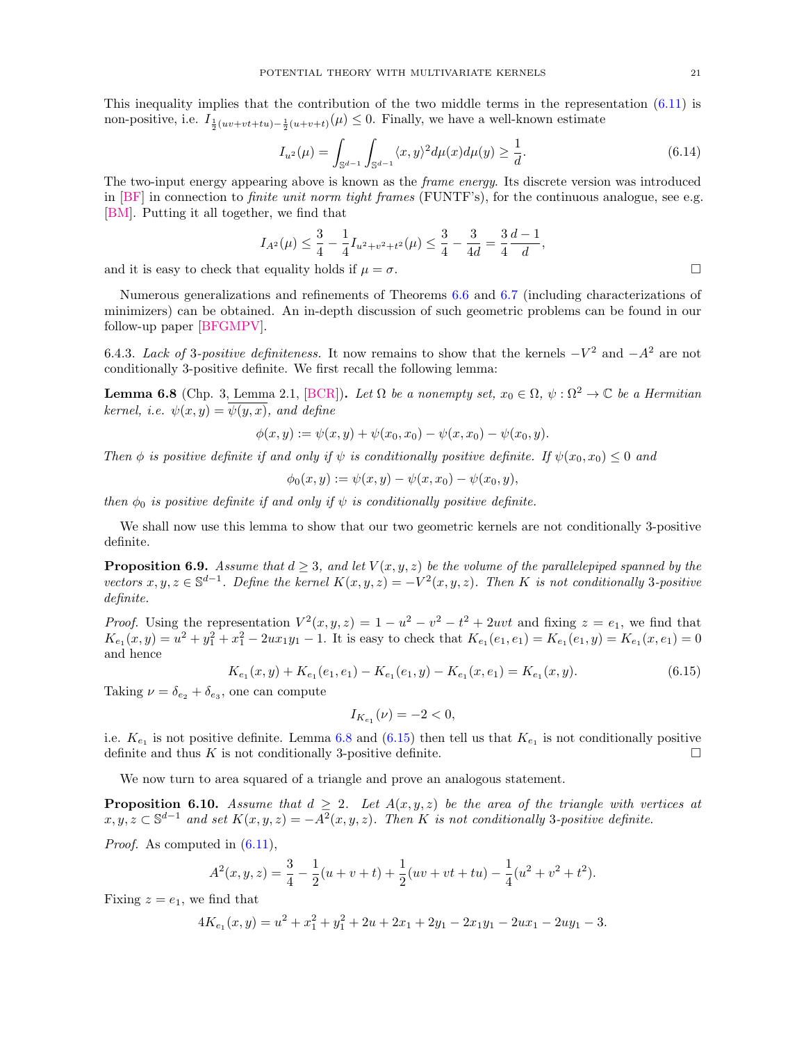This inequality implies that the contribution of the two middle terms in the representation  $(6.11)$  is non-positive, i.e.  $I_{\frac{1}{2}(uv+vt+tu)-\frac{1}{2}(u+v+t)}(\mu) \leq 0$ . Finally, we have a well-known estimate

$$
I_{u^2}(\mu) = \int_{\mathbb{S}^{d-1}} \int_{\mathbb{S}^{d-1}} \langle x, y \rangle^2 d\mu(x) d\mu(y) \ge \frac{1}{d}.
$$
 (6.14)

The two-input energy appearing above is known as the frame energy. Its discrete version was introduced in  $[BF]$  in connection to *finite unit norm tight frames*  $(FUNTF's)$ , for the continuous analogue, see e.g. [\[BM\]](#page-21-28). Putting it all together, we find that

$$
I_{A^2}(\mu) \leq \frac{3}{4} - \frac{1}{4}I_{u^2 + v^2 + t^2}(\mu) \leq \frac{3}{4} - \frac{3}{4d} = \frac{3}{4}\frac{d-1}{d},
$$

and it is easy to check that equality holds if  $\mu = \sigma$ .

Numerous generalizations and refinements of Theorems [6.6](#page-19-0) and [6.7](#page-19-1) (including characterizations of minimizers) can be obtained. An in-depth discussion of such geometric problems can be found in our follow-up paper [\[BFGMPV\]](#page-21-12).

6.4.3. Lack of 3-positive definiteness. It now remains to show that the kernels  $-V^2$  and  $-A^2$  are not conditionally 3-positive definite. We first recall the following lemma:

<span id="page-20-2"></span>**Lemma 6.8** (Chp. 3, Lemma 2.1, [\[BCR\]](#page-21-29)). Let  $\Omega$  be a nonempty set,  $x_0 \in \Omega$ ,  $\psi : \Omega^2 \to \mathbb{C}$  be a Hermitian kernel, i.e.  $\psi(x, y) = \psi(y, x)$ , and define

$$
\phi(x,y) := \psi(x,y) + \psi(x_0,x_0) - \psi(x,x_0) - \psi(x_0,y).
$$

Then  $\phi$  is positive definite if and only if  $\psi$  is conditionally positive definite. If  $\psi(x_0, x_0) \leq 0$  and

$$
\phi_0(x, y) := \psi(x, y) - \psi(x, x_0) - \psi(x_0, y),
$$

then  $\phi_0$  is positive definite if and only if  $\psi$  is conditionally positive definite.

We shall now use this lemma to show that our two geometric kernels are not conditionally 3-positive definite.

<span id="page-20-0"></span>**Proposition 6.9.** Assume that  $d \geq 3$ , and let  $V(x, y, z)$  be the volume of the parallelepiped spanned by the vectors  $x, y, z \in \mathbb{S}^{d-1}$ . Define the kernel  $K(x, y, z) = -V^2(x, y, z)$ . Then K is not conditionally 3-positive definite.

*Proof.* Using the representation  $V^2(x, y, z) = 1 - u^2 - v^2 - t^2 + 2uvt$  and fixing  $z = e_1$ , we find that  $K_{e_1}(x,y) = u^2 + y_1^2 + x_1^2 - 2ux_1y_1 - 1$ . It is easy to check that  $K_{e_1}(e_1, e_1) = K_{e_1}(e_1, y) = K_{e_1}(x, e_1) = 0$ and hence

<span id="page-20-3"></span>
$$
K_{e_1}(x, y) + K_{e_1}(e_1, e_1) - K_{e_1}(e_1, y) - K_{e_1}(x, e_1) = K_{e_1}(x, y). \tag{6.15}
$$

Taking  $\nu = \delta_{e_2} + \delta_{e_3}$ , one can compute

$$
I_{K_{e_1}}(\nu) = -2 < 0,
$$

i.e.  $K_{e_1}$  is not positive definite. Lemma [6.8](#page-20-2) and [\(6.15\)](#page-20-3) then tell us that  $K_{e_1}$  is not conditionally positive definite and thus  $K$  is not conditionally 3-positive definite.  $\Box$ 

We now turn to area squared of a triangle and prove an analogous statement.

<span id="page-20-1"></span>**Proposition 6.10.** Assume that  $d \geq 2$ . Let  $A(x, y, z)$  be the area of the triangle with vertices at  $x, y, z \in \mathbb{S}^{d-1}$  and set  $K(x, y, z) = -A^2(x, y, z)$ . Then K is not conditionally 3-positive definite.

Proof. As computed in  $(6.11)$ ,

$$
A^{2}(x, y, z) = \frac{3}{4} - \frac{1}{2}(u + v + t) + \frac{1}{2}(uv + vt + tu) - \frac{1}{4}(u^{2} + v^{2} + t^{2}).
$$

Fixing  $z = e_1$ , we find that

$$
4K_{e_1}(x,y) = u^2 + x_1^2 + y_1^2 + 2u + 2x_1 + 2y_1 - 2x_1y_1 - 2ux_1 - 2uy_1 - 3.
$$

<span id="page-20-4"></span>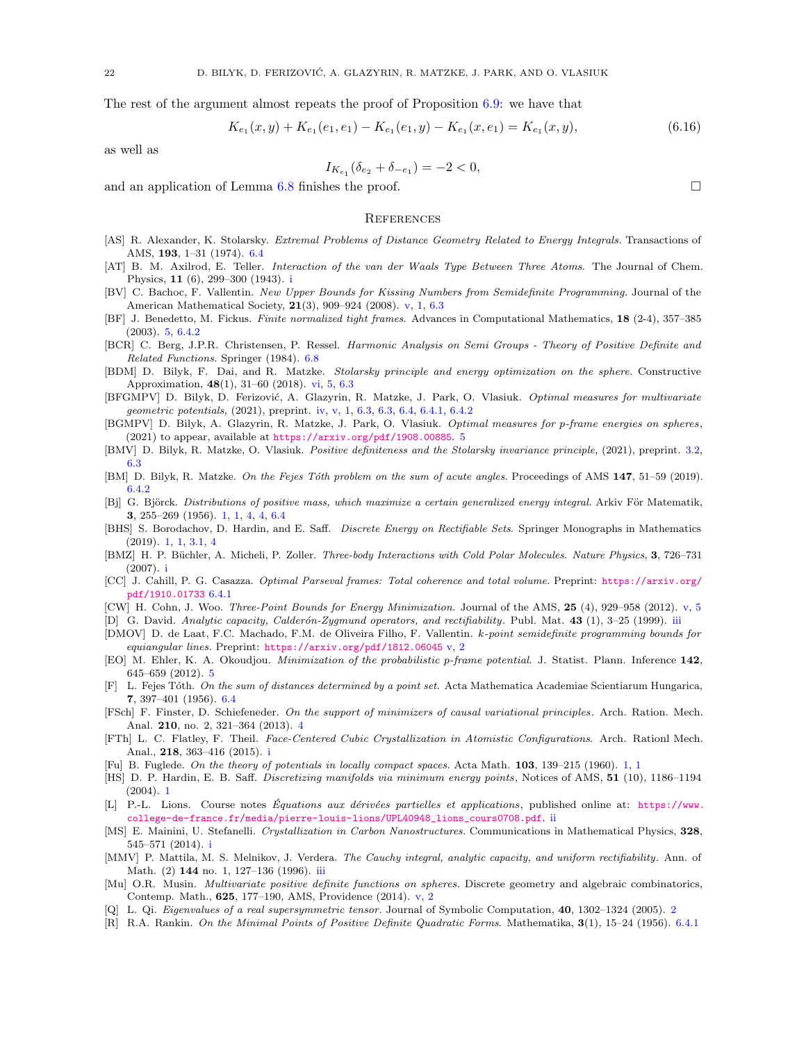The rest of the argument almost repeats the proof of Proposition  $6.9$ : we have that

$$
K_{e_1}(x, y) + K_{e_1}(e_1, e_1) - K_{e_1}(e_1, y) - K_{e_1}(x, e_1) = K_{e_1}(x, y),
$$
\n(6.16)

as well as

$$
I_{K_{e_1}}(\delta_{e_2} + \delta_{-e_1}) = -2 < 0,
$$

and an application of Lemma [6.8](#page-20-2) finishes the proof.  $\Box$ 

### <span id="page-21-0"></span>**REFERENCES**

- <span id="page-21-24"></span>[AS] R. Alexander, K. Stolarsky. Extremal Problems of Distance Geometry Related to Energy Integrals. Transactions of AMS, 193, 1–31 (1974). [6.4](#page-18-0)
- <span id="page-21-8"></span>[AT] B. M. Axilrod, E. Teller. Interaction of the van der Waals Type Between Three Atoms. The Journal of Chem. Physics, 11 (6), 299–300 (1943). [i](#page-1-2)
- <span id="page-21-16"></span>[BV] C. Bachoc, F. Vallentin. New Upper Bounds for Kissing Numbers from Semidefinite Programming. Journal of the American Mathematical Society, 21(3), 909–924 (2008). [v,](#page-1-3) [1,](#page-1-4) [6.3](#page-17-0)
- <span id="page-21-23"></span>[BF] J. Benedetto, M. Fickus. Finite normalized tight frames. Advances in Computational Mathematics, 18 (2-4), 357–385 (2003). [5,](#page-13-1) [6.4.2](#page-20-4)
- <span id="page-21-29"></span>[BCR] C. Berg, J.P.R. Christensen, P. Ressel. Harmonic Analysis on Semi Groups - Theory of Positive Definite and Related Functions. Springer (1984). [6.8](#page-20-2)
- <span id="page-21-17"></span>[BDM] D. Bilyk, F. Dai, and R. Matzke. Stolarsky principle and energy optimization on the sphere. Constructive Approximation, 48(1), 31–60 (2018). [vi,](#page-1-4) [5,](#page-13-2) [6.3](#page-17-6)
- <span id="page-21-12"></span>[BFGMPV] D. Bilyk, D. Ferizović, A. Glazyrin, R. Matzke, J. Park, O. Vlasiuk. Optimal measures for multivariate geometric potentials, (2021), preprint. [iv,](#page-1-5) [v,](#page-1-3) [1,](#page-1-4) [6.3,](#page-17-8) [6.3,](#page-17-7) [6.4,](#page-18-0) [6.4.1,](#page-19-0) [6.4.2](#page-20-4)
- <span id="page-21-22"></span>[BGMPV] D. Bilyk, A. Glazyrin, R. Matzke, J. Park, O. Vlasiuk. Optimal measures for p-frame energies on spheres,  $(2021)$  to appear, available at <https://arxiv.org/pdf/1908.00885>. [5](#page-13-1)
- <span id="page-21-19"></span>[BMV] D. Bilyk, R. Matzke, O. Vlasiuk. Positive definiteness and the Stolarsky invariance principle, (2021), preprint. [3.2,](#page-6-4) [6.3](#page-17-6)
- <span id="page-21-28"></span>[BM] D. Bilyk, R. Matzke. On the Fejes Tóth problem on the sum of acute angles. Proceedings of AMS 147, 51–59 (2019). [6.4.2](#page-20-4)
- <span id="page-21-1"></span>[Bj] G. Björck. Distributions of positive mass, which maximize a certain generalized energy integral. Arkiv För Matematik, 3, 255–269 (1956). [1,](#page-0-1) [1,](#page-1-4) [4,](#page-9-0) [4,](#page-9-1) [6.4](#page-18-0)
- <span id="page-21-4"></span>[BHS] S. Borodachov, D. Hardin, and E. Saff. Discrete Energy on Rectifiable Sets. Springer Monographs in Mathematics (2019). [1,](#page-0-1) [1,](#page-1-4) [3.1,](#page-5-1) [4](#page-9-0)
- <span id="page-21-7"></span>[BMZ] H. P. Büchler, A. Micheli, P. Zoller. Three-body Interactions with Cold Polar Molecules. Nature Physics, 3, 726–731 (2007). [i](#page-1-2)
- <span id="page-21-27"></span>[CC] J. Cahill, P. G. Casazza. Optimal Parseval frames: Total coherence and total volume. Preprint: [https://arxiv.org/](https://arxiv.org/pdf/1910.01733) [pdf/1910.01733](https://arxiv.org/pdf/1910.01733) [6.4.1](#page-19-0)
- <span id="page-21-13"></span>[CW] H. Cohn, J. Woo. Three-Point Bounds for Energy Minimization. Journal of the AMS, 25 (4), 929–958 (2012). [v,](#page-1-3) [5](#page-12-4)
- <span id="page-21-10"></span>[D] G. David. Analytic capacity, Calderón-Zygmund operators, and rectifiability. Publ. Mat. 43 (1), 3-25 (1999). [iii](#page-1-6)
- <span id="page-21-14"></span>[DMOV] D. de Laat, F.C. Machado, F.M. de Oliveira Filho, F. Vallentin. k-point semidefinite programming bounds for equiangular lines. Preprint: <https://arxiv.org/pdf/1812.06045> [v,](#page-1-3) [2](#page-4-1)
- <span id="page-21-21"></span>[EO] M. Ehler, K. A. Okoudjou. Minimization of the probabilistic p-frame potential. J. Statist. Plann. Inference 142, 645–659 (2012). [5](#page-13-1)
- <span id="page-21-25"></span>[F] L. Fejes Tóth. On the sum of distances determined by a point set. Acta Mathematica Academiae Scientiarum Hungarica, 7, 397–401 (1956). [6.4](#page-18-0)
- <span id="page-21-20"></span>[FSch] F. Finster, D. Schiefeneder. On the support of minimizers of causal variational principles. Arch. Ration. Mech. Anal. 210, no. 2, 321–364 (2013). [4](#page-12-1)
- <span id="page-21-6"></span>[FTh] L. C. Flatley, F. Theil. Face-Centered Cubic Crystallization in Atomistic Configurations. Arch. Rationl Mech. Anal., 218, 363–416 (2015). [i](#page-1-2)
- <span id="page-21-2"></span>[Fu] B. Fuglede. On the theory of potentials in locally compact spaces. Acta Math. 103, 139–215 (1960). [1,](#page-0-1) [1](#page-1-4)
- <span id="page-21-3"></span>[HS] D. P. Hardin, E. B. Saff. Discretizing manifolds via minimum energy points, Notices of AMS, 51 (10), 1186–1194 (2004). [1](#page-0-1)
- <span id="page-21-9"></span>[L] P.-L. Lions. Course notes Equations aux dérivées partielles et applications, published online at: [https://www.](https://www.college-de-france.fr/media/pierre-louis-lions/UPL40948_lions_cours0708.pdf) [college-de-france.fr/media/pierre-louis-lions/UPL40948\\_lions\\_cours0708.pdf](https://www.college-de-france.fr/media/pierre-louis-lions/UPL40948_lions_cours0708.pdf). [ii](#page-1-7)
- <span id="page-21-5"></span>[MS] E. Mainini, U. Stefanelli. Crystallization in Carbon Nanostructures. Communications in Mathematical Physics, 328, 545–571 (2014). [i](#page-1-2)
- <span id="page-21-11"></span>[MMV] P. Mattila, M. S. Melnikov, J. Verdera. The Cauchy integral, analytic capacity, and uniform rectifiability. Ann. of Math. (2) 144 no. 1, 127–136 (1996). [iii](#page-1-6)
- <span id="page-21-15"></span>[Mu] O.R. Musin. *Multivariate positive definite functions on spheres*. Discrete geometry and algebraic combinatorics, Contemp. Math., 625, 177–190, AMS, Providence (2014). [v,](#page-1-3) [2](#page-4-1)
- <span id="page-21-18"></span>[Q] L. Qi. Eigenvalues of a real supersymmetric tensor. Journal of Symbolic Computation, 40, 1302–1324 (2005). [2](#page-4-1)
- <span id="page-21-26"></span>[R] R.A. Rankin. On the Minimal Points of Positive Definite Quadratic Forms. Mathematika, 3(1), 15–24 (1956). [6.4.1](#page-19-0)